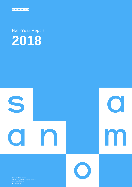

Half-Year Report **2018**



**Sanoma Corporation** P.O.Box 60, 00089 Sanoma, Finland ID 1524361–1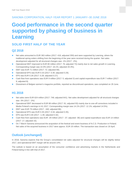### SANOMA CORPORATION, HALF-YEAR REPORT 1 JANUARY–30 JUNE 2018

# **Good performance in the second quarter supported by phasing of business in Learning**

## **SOLID FIRST HALF OF THE YEAR**

### **Q2 2018**

- Net sales amounted to EUR 363 million (2017: 418; adjusted 359) and were supported by Learning, where the traditional spring orders shifting from the beginning of the year were received during the quarter. Net sales development adjusted for all structural changes was -1% (2017: -2%).
- Operational EBIT improved to EUR 80 million (2017: 76; adjusted 73) mainly due to net sales growth in Learning. Corresponding margin was 22.0% (2017: 18.1%; adjusted 20.3%).
- EBIT was EUR 71 million (2017: 72; adjusted 69).
- Operational EPS was EUR 0.33 (2017: 0.30; adjusted 0.29).
- **EPS was EUR 0.28 (2017: 0.28; adjusted 0.27).**
- Cash flow from operations was EUR 9 million (2017: 5; adjusted 3) and capital expenditure was EUR 7 million (2017: 9; adjusted 8).
- Divestment of Belgian women's magazine portfolio, reported as discontinued operations, was completed on 29 June.

### **H1 2018**

- Net sales were EUR 624 million (2017: 748; adjusted 641). Net sales development adjusted for all structural changes was -3% (2017: -2%)
- Operational EBIT decreased to EUR 88 million (2017: 91; adjusted 93) mainly due to one-off corrections included in Media Finland's earnings in H1 2017. Corresponding margin was 14.1% (2017: 12.1%; adjusted 14.5%).
- EBIT was EUR 79 million (2017: -340; adjusted 86).
- Operational EPS was EUR 0.35 (2017: 0.34; adjusted 0.35).
- **EPS was EUR 0.30 (2017: -1.46; adjusted 0.32).**
- Cash flow from operations was EUR -29 million (2017: -37; adjusted -38) and capital expenditure was EUR 14 million (2017: 17; adjusted 15).
- On 7 March Sanoma announced the acquisition of the festival and event business of N.C.D. Production in Finland. Net sales of the acquired business in 2017 were approx. EUR 20 million. The transaction was closed on 18 April.

## **Outlook (unchanged)**

In 2018, Sanoma expects that the Group's consolidated net sales adjusted for structural changes will be slightly below 2017, and operational EBIT margin will be around 14%.

The outlook is based on an assumption of the consumer confidence and advertising markets in the Netherlands and Finland being in line with that of 2017.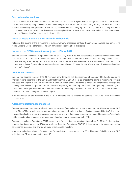#### **Discontinued operations**

On 16 January 2018, Sanoma announced the intention to divest its Belgian women's magazine portfolio. The divested business was consequently classified as Discontinued operations in 2017 financial reporting. All key indicators and income statement related figures presented in this report, including corresponding figures in 2017, cover Continuing operations only unless otherwise stated. The divestment was completed on 29 June 2018. More information on the Discontinued operations' financial performance is available on p. 35.

#### **Name of Media BeNe changed to Media Netherlands**

Following the closing of the divestment of Belgian women's magazine portfolio, Sanoma has changed the name of its Media BeNe to Media Netherlands. The new name is used starting from this report.

#### **Impact of the SBS transaction – Adjusted KPIs for 2017**

Sanoma divested the Dutch TV operations of SBS on 19 July 2017. SBS was consolidated in Sanoma's income statement until 30 June 2017 as part of Media Netherlands. To enhance comparability between the reporting periods, certain comparable adjusted key figures for 2017 for the Group and for Media Netherlands are presented in this report. The comparable adjusted figures fully exclude the divested operations of SBS and include 100% of Veronica Uitgeverij and are named as "adjusted".

#### **IFRS 15 restatement**

Sanoma has adopted the new IFRS 15 Revenue from Contracts with Customers as of 1 January 2018 and prepares its financial reports according to the new standard starting from Q1 2018. IFRS 15 impacts the timing of recognizing revenue and cost. The impact of the new standard on Sanoma Group's annual net sales is considered insignificant, although the phasing over individual quarters will be affected, especially in Learning. All annual and quarterly financial figures presented in this report have been restated to account for the changes. Adoption of IFRS 15 has no impact on Sanoma's Outlook for 2018 or its long-term financial targets.

More information on the transition to the IFRS 15 standard and its impacts on Sanoma is available in the Accounting policies, p. 24.

#### **Alternative performance measures**

Sanoma presents certain financial performance measures (alternative performance measures or APMs) on a non-IFRS basis. The APMs exclude certain non-operational or non-cash valuation items affecting comparability (IACs) and are provided to reflect the underlying business performance and to enhance comparability from period to period. APMs should not be considered as a substitute for measures of performance in accordance with IFRS.

Sanoma has included Operational EBITDA as a new APM in its financial reporting starting from Q1 2018. As depreciation, amortization, impairments and IACs are excluded from the Operational EBITDA it is considered to complement other performance measures and provide valuable information to investors.

More information is available at Sanoma.com. Reconciliations are presented on p. 20 in this report. Definitions of key IFRS indicators and APMs are presented on p. 37.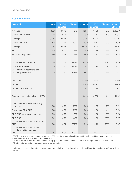### **Key indicators \***

| <b>EUR million</b>                                                         | Q2 2018 | Q2 2017<br>adjusted | <b>Change</b> | H1 2018 | H1 2017<br>adjusted | <b>Change</b> | FY 2017<br>adjusted |
|----------------------------------------------------------------------------|---------|---------------------|---------------|---------|---------------------|---------------|---------------------|
| Net sales                                                                  | 362.9   | 359.3               | 1%            | 624.5   | 641.5               | $-3%$         | 1,328.0             |
| <b>Operational EBITDA</b>                                                  | 112.5   | 105.8               | 6%            | 156.9   | 163.7               | $-4%$         | 328.5               |
| margin                                                                     | 31.0%   | 29.4%               |               | 25.1%   | 25.5%               |               | 24.7%               |
| <b>Operational EBIT</b>                                                    | 79.8    | 72.8                | 10%           | 88.0    | 93.2                | $-6%$         | 179.0               |
| margin                                                                     | 22.0%   | 20.3%               |               | 14.1%   | 14.5%               |               | 13.5 %              |
| <b>EBIT</b>                                                                | 70.6    | 68.7                | 3%            | 79.0    | 86.4                | $-9%$         | 186.4               |
| Result for the period **                                                   | 68.0    | 46.8                | 45%           | 62.9    | 55.2                | 14%           | 126.8               |
|                                                                            |         |                     |               |         |                     |               |                     |
| Cash flow from operations **                                               | 8.6     | 2.6                 | 228%          | $-28.6$ | $-37.7$             | 24%           | 140.9               |
| Capital expenditure ** ' ***                                               | 7.0     | 8.3                 | $-16%$        | 14.2    | 15.0                | $-5%$         | 34.7                |
| Cash flow from operations less<br>capital expenditure **                   | 1.6     | $-5.7$              | 128%          | $-42.8$ | $-52.7$             | 19%           | 106.2               |
|                                                                            |         |                     |               |         |                     |               |                     |
| Equity ratio **                                                            |         |                     |               | 36.6%   | 28.8%               |               | 38.2%               |
| Net debt **                                                                |         |                     |               | 472.8   | 846.7               |               | 391.8               |
| Net debt / Adj. EBITDA **                                                  |         |                     |               | 2.1     | 3.6                 |               | 1.7                 |
|                                                                            |         |                     |               |         |                     |               |                     |
| Average number of employees (FTE)                                          |         |                     |               | 4,420   | 4,632               | $-5%$         | 4,562               |
|                                                                            |         |                     |               |         |                     |               |                     |
| Operational EPS, EUR, continuing<br>operations                             | 0.33    | 0.29                | 16%           | 0.35    | 0.35                | 2%            | 0.71                |
| Operational EPS, EUR **                                                    | 0.34    | 0.30                | 11%           | 0.36    | 0.36                | $0\%$         | 0.74                |
|                                                                            | 0.28    | 0.27                | 3%            | 0.30    | 0.32                | $-6%$         | 0.76                |
| EPS, EUR, continuing operations<br>EPS, EUR **                             | 0.41    | 0.29                | 44%           | 0.38    | 0.33                | 13%           | 0.77                |
| Cash flow from operations per share,                                       |         |                     |               |         |                     |               |                     |
| EUR **                                                                     | 0.05    | 0.02                | 227%          | $-0.18$ | $-0.23$             | 25%           | 0.87                |
| Cash flow from operations less<br>capital expenditure per share,<br>EUR ** | 0.01    | $-0.04$             | 128%          | $-0.26$ | $-0.32$             | 19%           | 0.65                |

\* 2017 figures have been restated due to a change in IFRS 15 and were originally published on 27 March 2018. More information on the restatement is available in Accounting policies on p. 24.

\*\* Including continuing and discontinued operations. Equity ratio, net debt and net debt / Adj. EBITDA not adjusted for the SBS divestment.

\*\*\* Earlier capital expenditure was presented on an accrual basis.

Key indicators with non-adjusted figures for the comparison periods in 2017, which include the divested Dutch TV operations of SBS, are available on p. 18.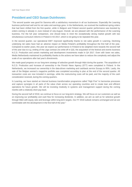## **President and CEO Susan Duinhoven:**

"The second quarter was good for Sanoma with a satisfactory momentum in all our businesses. Especially the Learning business performed well and its net sales and earnings grew. In the Netherlands, we received the traditional spring orders that had been shifted from the first quarter, while in Belgium and Finland second quarter performance was boosted by orders coming in already in June instead of July-August. Overall, we are pleased with the performance of the Learning business. For the full year comparison, one should keep in mind the exceptionally strong market growth with two simultaneous curriculum reforms in Poland in H2 2017, which is not going to be repeated this year.

In the second quarter, our operational EBIT improved significantly thanks to net sales growth in Learning. Declining underlying net sales have had an adverse impact on Media Finland's profitability throughout the first half of the year. Compared to earlier years, this year we expect our performance in Finland to be weighted more towards the second half of the year due to e.g. ending of the Liiga contract (no write-off in Q3), the acquisition of the festival and events business N.C.D. Production and certain marketing and development investments made in Q4 2017. Even with lower net sales, Media Netherlands maintained its profitability thanks to the actions we have taken to reduce the complexity and adjust the scale of our operations after last year's divestments.

We made good progress on our long-term strategy of selective growth through M&A during the quarter. The acquisition of N.C.D. Production and increase of ownership in the Finnish News Agency (STT) were completed in Finland. In the Netherlands, we increased our ownership in the data-driven marketing and cashback service Scoupy to 95%. Lastly, the sale of the Belgian women's magazine portfolio was completed according to plan at the end of the second quarter. All transaction costs are now included in earnings, while the restructuring costs will be paid, and the majority of the cash consideration received, during the coming quarters.

In Learning, we have started an internal business transformation programme called "High Five" to harmonise processes and capture synergies in all parts of the value chain across our operating countries and to create lean and efficient operations for future growth. We will be investing modestly in systems and management support during the coming months with a relatively short pay-back.

During the second half of 2018, we continue to focus on our long-term strategy. We will focus on our customers as well as on improving our profitability and cash flow for increasing dividends. In addition, we aim as well as for selective growth through M&A with equity ratio and leverage within long-term targets. Our FY 2018 outlook remains unchanged and we are comfortable with the development in the first half of the year."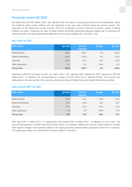## **Financial review Q2 2018**

Net sales were EUR 363 million (2017: 418; adjusted 359). Net sales of Learning grew driven by the Netherlands, where the traditional spring orders shifting from the beginning of the year were received during the second quarter. The acquisition of the festival and events business of N.C.D. Production in March 2018 had a positive impact on Media Finland's net sales. Underlying net sales of Media Finland and Media Netherlands declined slightly due to continued soft advertising sales. Net sales development adjusted for all structural changes was -1% (2017: -2%).

#### **Net sales by SBU**

| <b>EUR million</b> | Q2 2018 | Q2 2017<br>adjusted | <b>Change</b> | Q2 2017 |
|--------------------|---------|---------------------|---------------|---------|
| Media Finland      | 146.2   | 144.5               | 1%            | 144.5   |
| Media Netherlands  | 108.4   | 116.9               | $-7%$         | 176.1   |
| Learning           | 108.3   | 97.9                | 11%           | 97.9    |
| Other operations   | $-0.1$  | $-0.1$              | 11%           | $-0.1$  |
| <b>Group total</b> | 362.9   | 359.3               | 1%            | 418.5   |

Operational EBITDA amounted to EUR 113 million (2017: 142; adjusted 106). Operational EBIT improved to EUR 80 million (2017: 76; adjusted 73), corresponding to a margin of 22.0% (2017:18.1%; adjusted 20.3%). The increase was attributable to net sales growth in the Learning, whereas earnings of Media Finland and Media Netherlands declined.

#### **Operational EBIT by SBU**

| <b>EUR million</b> | Q2 2018 | Q2 2017<br>adjusted | Change | Q2 2017 |
|--------------------|---------|---------------------|--------|---------|
| Media Finland      | 18.6    | 22.4                | $-17%$ | 22.4    |
| Media Netherlands  | 19.5    | 20.8                | $-6%$  | 23.7    |
| Learning           | 43.7    | 31.9                | 37%    | 31.9    |
| Other operations   | $-1.9$  | $-2.4$              | 20%    | $-2.4$  |
| <b>Group total</b> | 79.8    | 72.8                | 10%    | 75.7    |

EBIT was EUR 71 million (2017: 72; adjusted 69) and included EUR -9 million (2017: -4; adjusted -4) net of IACs. The restructuring expenses included in the IACs consist mainly of a provision related to an onerous rental contract of vacated office space in Belgium and expenses related to the ongoing business transformation programme "High Five" in Learning. The capital gain relates to the divestment of Sanoma Baltics in April 2017.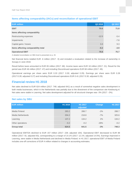#### **Items affecting comparability (IACs) and reconciliation of operational EBIT**

| <b>EUR million</b>                  | Q2 2018 | Q2 2017 |
|-------------------------------------|---------|---------|
| <b>EBIT</b>                         | 70.6    | 71.8    |
| Items affecting comparability       |         |         |
| Restructuring expenses              | $-12.5$ | $-5.4$  |
| Impairments                         |         | $-7.8$  |
| Capital gains / losses              | 3.3     | 9.3     |
| Items affecting comparability total | $-9.2$  | $-3.9$  |
| <b>Operational EBIT</b>             | 79.8    | 75.7    |

A detailed reconciliation on SBU level is presented on p. 20.

Net financial items totalled EUR -6 million (2017: -5) and included a revaluation related to the increase of ownership in Scoupy in June 2018.

Result before taxes amounted to EUR 65 million (2017: 68). Income taxes were EUR 18 million (2017: 21). Result for the period was EUR 46 million (2017: 47) and including Discontinued operations EUR 68 million (2017: 49).

Operational earnings per share were EUR 0.33 (2017: 0.30; adjusted 0.29). Earnings per share were EUR 0.28 (2017:0.28; adjusted 0.27) and including Discontinued operations EUR 0.41 (2017:0.30; adjusted 0.29).

### **Financial review H1 2018**

Net sales declined to EUR 624 million (2017: 748; adjusted 641) as a result of somewhat negative sales development in both media businesses, which in the Netherlands was partially due to the divestment of the comparison site Kieskeurig.nl. Net sales were stable in Learning. Net sales development adjusted for all structural changes was -3% (2017: -2%).

## **EUR million H1 2018 H1 2017 adjusted Change H1 2017**  Media Finland 283.2 288.7 -2% 288.7 Media Netherlands 204.2 218.8 -7% 325.6 Learning 137.2 134.2 2% 134.2 Other operations -0.2 -0.2 -28% -0.2 **Group total 624.5 641.5 -3% 748.3**

#### **Net sales by SBU**

Operational EBITDA declined to EUR 157 million (2017: 228; adjusted 164). Operational EBIT decreased to EUR 88 million (2017: 91; adjusted 93), corresponding to a margin of 14.1% (2017: 12.1%; adjusted 14.5%). Earnings improved in Learning, were stable in Media Netherlands and declined in Media Finland. In H1 2017, operational EBIT of Media Finland includes one-off corrections of EUR 4 million related to changes in accounting estimates.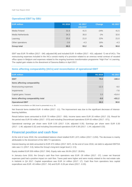#### **Operational EBIT by SBU**

| <b>EUR million</b> | H1 2018 | H1 2017<br>adjusted | <b>Change</b> | H1 2017 |
|--------------------|---------|---------------------|---------------|---------|
| Media Finland      | 31.6    | 41.5                | $-24%$        | 41.5    |
| Media Netherlands  | 34.3    | 35.0                | $-2%$         | 32.6    |
| Learning           | 25.6    | 21.0                | 22%           | 21.0    |
| Other operations   | $-3.6$  | $-4.3$              | 16%           | $-4.3$  |
| <b>Group total</b> | 88.0    | 93.2                | $-6%$         | 90.8    |

EBIT was EUR 79 million (2017: -340; adjusted 86) and included EUR -9 million (2017: -431; adjusted -7) net of IACs. The restructuring expenses included in the IACs consist mainly of a provision related to an onerous rental contract of vacated office space in Belgium and expenses related to the ongoing business transformation programme "High Five" in Learning. The capital gain relates to the divestment of Sanoma Baltics in April 2017.

#### **Items affecting comparability (IACs) and reconciliation of operational EBIT**

| <b>EUR million</b>                  | H1 2018 | H1 2017  |
|-------------------------------------|---------|----------|
| <b>EBIT</b>                         | 79.0    | $-340.4$ |
| Items affecting comparability       |         |          |
| Restructuring expenses              | $-12.3$ | $-9.0$   |
| Impairments                         |         | $-7.8$   |
| Capital gains / losses              | 3.3     | $-414.4$ |
| Items affecting comparability total | $-9.0$  | $-431.2$ |
| <b>Operational EBIT</b>             | 88.0    | 90.8     |

A detailed reconciliation on SBU level is presented on p. 20.

Net financial items totalled EUR -9 million (2017: -11). The improvement was due to the significant decrease of interestbearing liabilities.

Result before taxes amounted to EUR 70 million (2017: -350). Income taxes were EUR 20 million (2017: 23). Result for the period was EUR 50 million (2017: -373) and including Discontinued operations EUR 63 million (2017: -371).

Operational earnings per share were EUR 0.35 (2017: 0.34; adjusted 0.35). Earnings per share were EUR 0.30 (2017: -1.46; adjusted 0.32) and including Discontinued operations EUR 0.38 (2017: -1.44; adjusted 0.33).

## **Financial position and cash flow**

At the end of June 2018, the consolidated balance sheet totalled EUR 1,671 million (2017: 2,204). The decrease is mainly attributable to the divestment of the SBS TV operations.

Interest-bearing net debt amounted to EUR 473 million (2017: 847). At the end of June 2018, net debt to adjusted EBITDA ratio was 2.1 (2017: 3.6), below the Group's long-term target level (< 2.5).

Equity totalled EUR 559 million (2017: 594). Equity ratio was 36.6% (2017: 28.8%).

In January–June 2018, the Group's cash flow from operations was EUR -29 million (2017: -37). Lower net financial expenses paid had a positive impact on cash flow. Taxes paid were higher and were mostly related to the real estate sale in Helsinki in Q4 2017. Capital expenditure was EUR 14 million (2017: 17). Cash flow from operations less capital expenditure was EUR -43 million (2017: -54) and EUR -0.26 per share (2017: -0.33).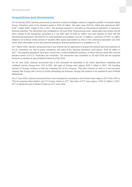## **Acquisitions and divestments**

On 16 January 2018, Sanoma announced an intention to divest its Belgian women's magazine portfolio to Roularta Media Group. Enterprise value of the divested assets is EUR 34 million. Net sales were EUR 81 million and operational EBIT EUR 7 million (EBIT margin 8.1%) in 2017. The divested business is classified as Discontinued operations in Sanoma's financial reporting. The divestment was completed on 29 June 2018. Restructuring costs, capital gains and similar one-off items related to the transaction amounted to a net EBIT gain of EUR 12 million and were booked as IACs into the Discontinued operations' net result for H1 2018 (detailed reconciliation on p.20). In addition, a provision of EUR -11 million related to an onerous rental contract of vacated office space was booked as IACs in the continuing operations' Q2 2018 result. More information on the Discontinued operations' financial performance is available on p. 35.

On 7 March 2018, Sanoma announced that it has entered into an agreement to acquire the festival and event business of N.C.D. Production Ltd. and its group companies. Net sales of the acquired operations were approx. EUR 20 million in 2017. The acquired operations have been moved into a newly established company, of which Sanoma holds 60% and the previous owner of N.C.D. Production the remainder. The transaction was completed on 18 April 2018 and the acquired business is reported as part of Media Finland as of Q2 2018.

On 26 June 2018, Sanoma announced that it has increased its ownership in the Dutch data-driven marketing and cashback service Scoupy from 72% to 95%. Net sales of Scoupy were approx. EUR 7 million in 2017. The founding partners of Scoupy continue to hold the remaining 5% of the company. They also continue to work in a non-executive capacity with Scoupy with a focus on further developing the business. Scoupy will continue to be reported as part of Media Netherlands.

On 27 June 2018, Sanoma announced that it has increased its ownership in the Finnish News Agency (STT) from 33% to 75% by acquiring Alma Media's and TS Group's shares in STT. Net sales of STT were approx. EUR 12 million in 2017. STT is reported as part of Media Finland as of 27 June 2018.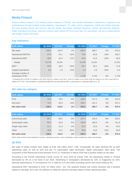## **Media Finland**

Sanoma Media Finland is the leading media company in Finland. We provide information, experiences, inspiration and entertainment through multiple media platforms: newspapers, TV, radio, events, magazines, online and mobile channels. We have leading brands and services, like Aku Ankka, Me Naiset, Helsingin Sanomat, Oikotie, Ilta-Sanomat, Nelonen, Radio Suomipop and Ruutu. Sanoma's brands reach almost all Finns every day. For advertisers, we are a trusted partner with insight, impact and reach.

#### **Key indicators**

| <b>EUR million</b>                   | Q2 2018 | Q2 2017 | <b>Change</b> | H1 2018 | H1 2017 | <b>Change</b> | FY 2017 |
|--------------------------------------|---------|---------|---------------|---------|---------|---------------|---------|
| Net sales                            | 146.2   | 144.5   | $1\%$         | 283.2   | 288.7   | $-2%$         | 570.4   |
| <b>Operational EBITDA</b>            | 37.9    | 42.1    | $-10%$        | 73.6    | 84.9    | $-13%$        | 155.7   |
| <b>Operational EBIT</b>              | 18.6    | 22.4    | $-17%$        | 31.6    | 41.5    | $-24%$        | 65.5    |
| Margin                               | 12.7%   | 15.5%   |               | 11.2%   | 14.4%   |               | 11.5%   |
| EBIT *                               | 20.5    | 30.5    | $-33%$        | 32.1    | 50.1    | $-36%$        | 71.8    |
| Capital expenditure                  | 0.5     | 1.9     | $-74%$        | 2.3     | 2.9     | $-20%$        | 6.4     |
| Average number of<br>employees (FTE) |         |         |               | 1,742   | 1,744   | $0\%$         | 1,744   |
|                                      |         |         |               |         |         |               |         |

\* Including IACs of EUR 1.9 million in Q2 2018, EUR 8.1 million in Q2 2017, EUR 0.5 million in H1 2018, EUR 8.6 million in H1 2017 and EUR 6.2 million in FY 2017. Reconciliation of operational EBITDA and operational EBIT is presented in a separate table on p. 20.

#### **Net sales by category**

| <b>EUR million</b> | Q2 2018 | Q <sub>2</sub> 2017 | <b>Change</b> | H1 2018 | <b>H1 2017</b> | <b>Change</b> | FY 2017 |
|--------------------|---------|---------------------|---------------|---------|----------------|---------------|---------|
| Print              | 72.0    | 78.6                | $-8%$         | 148.5   | 157.5          | $-6%$         | 313.3   |
| Non-print          | 74.2    | 65.9                | 13%           | 134.7   | 131.1          | 3%            | 257.1   |
| Net sales total    | 146.2   | 144.5               | $1\%$         | 283.2   | 288.7          | $-2%$         | 570.4   |

| <b>EUR million</b> | Q2 2018 | Q2 2017 | <b>Change</b> | H1 2018 | H1 2017 | <b>Change</b> | FY 2017 |
|--------------------|---------|---------|---------------|---------|---------|---------------|---------|
| Advertising sales  | 65.1    | 68.2    | $-4%$         | 127.1   | 135.3   | $-6\%$        | 263.4   |
| Subscription sales | 50.3    | 52.8    | $-5%$         | 103.5   | 106.4   | $-3%$         | 211.9   |
| Single copy sales  | 11.1    | 11.3    | $-1%$         | 22.2    | 22.0    | $1\%$         | 44.3    |
| Other              | 19.6    | 12.3    | 60%           | 30.4    | 24.9    | 22%           | 50.8    |
| Net sales total    | 146.2   | 144.5   | 1%            | 283.2   | 288.7   | $-2\%$        | 570.4   |

Other sales mainly include festivals & events, marketing services, event marketing, custom publishing, books and printing.

#### **Q2 2018**

Net sales of Media Finland were stable at EUR 146 million (2017: 145). Comparable net sales declined 5% as both advertising sales as well as print and pay TV subscription sales decreased. Digital subscription sales grew. The acquisition of the festival and event business of N.C.D. Production in March 2018 had a positive impact on net sales.

According to the Finnish Advertising Trends survey for June 2018 by Kantar TNS, the advertising market in Finland decreased by 3% on a net basis in Q2 2018. Advertising in newspapers decreased by 13%, in magazines by 10%, whereas advertising on TV increased by 1%, in radio by 11% and online excluding search and social media by 3%.

Operational EBIT decreased to EUR 19 million (2017: 22). The acquired festival and events business had a positive impact on earnings, but it was not sufficient to offset the adverse earnings impact of lower advertising sales.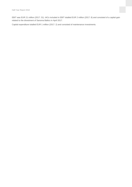EBIT was EUR 21 million (2017: 31). IACs included in EBIT totalled EUR 2 million (2017: 8) and consisted of a capital gain related to the divestment of Sanoma Baltics in April 2017.

Capital expenditure totalled EUR 1 million (2017: 2) and consisted of maintenance investments.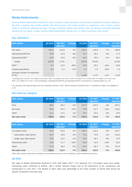## **Media Netherlands**

Sanoma Media Netherlands includes the Dutch consumer media operations and the press distribution business Aldipress. We have a leading cross media portfolio with strong brands and market positions in magazines, news, events, custom media, e-commerce, websites and apps. Through combining content and customer data, we develop successful marketing solutions for our clients. In total, Sanoma Media Netherlands reaches over 12 million consumers every month.

#### **Key indicators**

| <b>EUR million</b>                   | Q2 2018 | Q2 2017<br>adjusted | Change | H1 2018 | H1 2017<br>adjusted | <b>Change</b> | FY 2017<br>adjusted |
|--------------------------------------|---------|---------------------|--------|---------|---------------------|---------------|---------------------|
| Net sales                            | 108.4   | 116.9               | $-7%$  | 204.2   | 218.8               | $-7%$         | 439.6               |
| <b>Operational EBITDA</b>            | 20.9    | 22.9                | $-9%$  | 37.2    | 39.3                | $-5%$         | 77.2                |
| <b>Operational EBIT</b>              | 19.5    | 20.8                | $-6%$  | 34.3    | 35.0                | $-2%$         | 68.1                |
| margin                               | 18.0%   | 17.8%               |        | 16.8%   | 16.0%               |               | 15.5%               |
| EBIT *                               | 8.7     | 15.9                | $-46%$ | 25.5    | 30.1                | $-15%$        | 55.6                |
| Capital expenditure                  | 0.3     | 0.3                 | $-5%$  | 1.1     | 1.5                 | $-25%$        | 2.2                 |
| Average number of employees<br>(FTE) |         |                     |        | 1.049   | 1.172               | $-11%$        | 1.132               |

\* Including IACs of EUR -10.8 million in Q2 2018, EUR -4.9 million in Q2 2017, EUR -8.8 million in H1 2018, EUR -4.9 million in H1 2017 and EUR -12.5 million in FY 2017. Full reconciliation of operational EBITDA and operational EBIT is presented in a separate table on p. 20.

Key indicators with reported figures for the comparison periods in 2017, which include the divested Dutch TV operations of SBS, are available on p. 19.

#### **Net sales by category**

| <b>EUR million.</b> | Q2 2018 | Q2 2017<br>adjusted | Change | H1 2018 | H1 2017<br>adjusted | Change | FY 2017<br>adjusted |
|---------------------|---------|---------------------|--------|---------|---------------------|--------|---------------------|
| Print               | 66.4    | 69.3                | $-4%$  | 127.0   | 132.9               | $-4%$  | 262.1               |
| Non-print           | 30.0    | 35.5                | $-15%$ | 54.8    | 62.7                | $-13%$ | 129.2               |
| Other               | 12.1    | 12.2                | $-1%$  | 22.5    | 23.2                | $-3%$  | 48.4                |
| Net sales total     | 108.4   | 116.9               | $-7%$  | 204.2   | 218.8               | $-7%$  | 439.6               |

| <b>EUR million</b>         | Q2 2018 | Q2 2017<br>adjusted | <b>Change</b> | H1 2018 | H1 2017<br>adjusted | <b>Change</b> | FY 2017<br>adjusted |
|----------------------------|---------|---------------------|---------------|---------|---------------------|---------------|---------------------|
| Circulation sales          | 54.9    | 55.9                | $-2%$         | 108.2   | 110.2               | $-2%$         | 219.7               |
| subscription sales (print) | 36.1    | 36.8                | $-2%$         | 72.5    | 73.6                | $-1\%$        | 144.2               |
| single copy sales (print)  | 18.8    | 19.2                | $-2%$         | 35.6    | 36.7                | $-3%$         | 75.5                |
| Advertising sales          | 16.0    | 21.7                | $-26%$        | 31.8    | 41.8                | $-24%$        | 82.9                |
| Other                      | 37.5    | 39.3                | $-5%$         | 64.2    | 66.7                | $-4%$         | 137.0               |
| Net sales total            | 108.4   | 116.9               | $-7%$         | 204.2   | 218.8               | $-7%$         | 439.6               |

Other sales mainly include press distribution and marketing services, event marketing, custom publishing and books.

#### **Q2 2018**

Net sales of Media Netherlands declined to EUR 108 million (2017: 176; adjusted 117). Circulation sales were stable. Advertising sales continued to decline, with a further adverse impact due to the divestment of the comparison site Kieskeurig.nl in June 2017. The decline in other sales was attributable to the lower number of events held during the quarter compared to the prior year.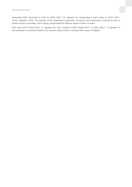Operational EBIT decreased to EUR 20 million (2017: 24; adjusted 21) representing a solid margin of 18.0% (2017: 13.5%; adjusted 17.8%). The benefits of the streamlined organisation and good cost containment continued to have a positive impact on earnings, which largely compensated the adverse impact of lower net sales.

EBIT was EUR 9 million (2017: 17; adjusted 16). IACs included in EBIT totalled EUR -11 million (2017: -5; adjusted -5) and consisted of a provision related to an onerous rental contract of vacated office space in Belgium.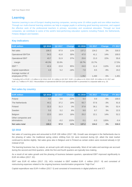## **Learning**

Sanoma Learning is one of Europe's leading learning companies, serving some 10 million pupils and one million teachers. Through our multi-channel learning solutions we help to engage pupils in achieving good learning outcomes, and support the effective work of the professional teachers in primary, secondary and vocational education. Through our local companies, we contribute to some of the world's best-performing education systems including Poland, the Netherlands, Finland, Belgium and Sweden.

#### **Key indicators**

| <b>EUR million</b>                   | Q2 2018 | Q2 2017 | <b>Change</b> | H1 2018 | H1 2017 | <b>Change</b> | FY 2017 |
|--------------------------------------|---------|---------|---------------|---------|---------|---------------|---------|
| Net sales                            | 108.3   | 97.9    | 11%           | 137.2   | 134.2   | 2%            | 318.3   |
| <b>Operational EBITDA</b>            | 54.3    | 41.8    | 30%           | 47.0    | 41.1    | 14%           | 100.0   |
| <b>Operational EBIT</b>              | 43.7    | 31.9    | 37%           | 25.6    | 21.0    | 22%           | 55.6    |
| margin                               | 40.3%   | 32.6%   |               | 18.7%   | 15.7%   |               | 17.5%   |
| EBIT *                               | 42.4    | 22.8    | 85%           | 24.0    | 11.4    | 110%          | 43.9    |
| Capital expenditure                  | 4.3     | 5.2     | $-18%$        | 7.8     | 8.5     | $-9%$         | 19.2    |
| Average number of<br>employees (FTE) |         |         |               | 1,352   | 1,430   | $-5%$         | 1,401   |

\* Including IACs of EUR -1.3 million in Q2 2018, EUR -9.1 million in Q2 2017, EUR -1.6 million in H1 2018, EUR -9.6 million in H1 2017 and EUR -11.7 million in FY 2017. Reconciliation of operational EBITDA and operational EBIT is presented in a separate table on p. 20.

| <b>EUR million</b>  | Q2 2018 | Q2 2017 | <b>Change</b> | H1 2018 | H1 2017 | <b>Change</b> | FY 2017 |
|---------------------|---------|---------|---------------|---------|---------|---------------|---------|
| Poland              | 4.4     | 5.6     | $-22%$        | 9.4     | 9.9     | $-5%$         | 100.0   |
| The Netherlands     | 44.1    | 37.2    | 19%           | 55.7    | 57.6    | $-3%$         | 91.6    |
| Finland             | 32.3    | 31.3    | 3%            | 37.8    | 36.1    | 5%            | 52.4    |
| Sweden              | 5.5     | 5.2     | 6%            | 9.0     | 8.7     | 3%            | 22.5    |
| Belgium             | 22.0    | 18.9    | 16%           | 25.2    | 22.1    | 14%           | 52.2    |
| Other companies and |         |         |               |         |         |               |         |
| eliminations        | 0.1     | $-0.2$  | 132%          | 0.1     | $-0.3$  | 126%          | $-0.4$  |
| Net sales total     | 108.3   | 97.9    | 11%           | 137.2   | 134.2   | 2%            | 318.3   |

#### **Net sales by country**

#### **Q2 2018**

Net sales of Learning grew and amounted to EUR 108 million (2017: 98). Growth was strongest in the Netherlands due to the phasing of sales: the traditional spring orders shifting from Q1 were received during Q2, albeit the total market continued to decline slightly. Net sales grew also in Belgium and in Finland as certain orders were received already in Q2 instead of Q3.

The learning business has, by nature, an annual cycle with strong seasonality. Most of net sales and earnings are accrued during the second and third quarters, while the first and fourth quarters are typically loss-making.

As a result of net sales growth and the phasing of business between quarters, operational EBIT improved significantly to EUR 44 million (2017: 32).

EBIT was EUR 42 million (2017: 23). IACs included in EBIT totalled EUR -1 million (2017: -9) and consisted of restructuring expenses related to the ongoing business transformation programme "High Five".

Capital expenditure was EUR 4 million (2017: 5) and consisted of investments in digital platforms and ICT.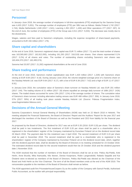## **Personnel**

In January–June 2018, the average number of employees in full-time equivalents (FTE) employed by the Sanoma Group was 4,420 (2017: 5,001). The average number of employees (FTE) per SBU was as follows: Media Finland 1,742 (2017: 1,744), Media Netherlands 1,049 (2017: 1,541), Learning 1,352 (2017: 1,430) and Other operations 277 (2017: 287). At the end of June, the number of employees (FTE) of the Group was 4,511 (2017: 5,033). The decrease was mostly due to the divestments.

Wages, salaries and fees paid to Sanoma's employees, including the expense recognition of share-based payments, amounted to EUR 156 million (2017: 179).

### **Share capital and shareholders**

At the end of June 2018, Sanoma's registered share capital was EUR 71 million (2017: 71) and the total number of shares was 163,565,663 (2017: 162,812,093), including 161,293 (2017: 316,519) own shares. Own shares represented 0.1% (2017: 0.2%) of all shares and votes. The number of outstanding shares excluding Sanoma's own shares was 163,404,370 (2017: 162,495,574).

Sanoma had 20,937 (2017: 21,282) registered shareholders at the end of June 2018.

### **Share trading and performance**

At the end of June 2018, Sanoma's market capitalisation was EUR 1,420 million (2017: 1,329) with Sanoma's share closing at EUR 8.69 (2017: 8.18). During January–June 2018, the volume-weighted average price of a Sanoma share on the Nasdaq Helsinki Ltd. was EUR 9.64 (2017: 8.17), with a low of EUR 8.39 (2017: 7.62) and a high of EUR 11.47 (2017: 8.91).

In January-June 2018, the cumulative value of Sanoma's share turnover on Nasdaq Helsinki Ltd. was EUR 201 million (2017: 144). The trading volume of 21 million (2017: 18) shares equalled an average daily turnover of 168k (2017: 142k) shares. The traded shares accounted for some 13% (2017: 11%) of the average number of shares. The cumulative value of Sanoma's share turnover including alternative trading venues was EUR 468 million (2017: 356). In January-June 2018, 57% (2017: 59%) of all trading took place outside Nasdaq Helsinki Ltd. (Source: Fidessa Fragmentation Index, www.fragmentation.fidessa.com)

### **Decisions of the Annual General Meeting**

Sanoma Corporation's Annual General Meeting of Shareholders (AGM) was held on 22 March 2018 in Helsinki. The meeting adopted the Financial Statements, the Board of Directors' Report and the Auditors' Report for the year 2017 and discharged the members of the Board of Directors as well as the President and CEO from liability for the financial year 2017.

As proposed by the Board of Directors, dividend for 2017 was set at EUR 0.35 (2016: EUR 0.20) per share. The dividend shall be paid in two instalments. The first instalment of EUR 0.20 per share shall be paid to a shareholder who is registered in the shareholders' register of the Company maintained by Euroclear Finland Ltd on the dividend record date 26 March 2018. The payment date for this instalment was 4 April 2018. The second instalment of EUR 0.15 per share shall be paid in November 2018. The second instalment shall be paid to a shareholder who is registered in the shareholders' register of the Company maintained by Euroclear Finland Ltd on the dividend record date, which, together with the dividend payment date, shall be decided by the Board of Directors in its meeting scheduled for 23 October 2018. The estimated dividend record date for the second instalment would then be 25 October 2018 and the dividend payment date 1 November 2018.

The AGM resolved that the number of members of the Board of Directors shall be set at nine. Pekka Ala-Pietilä, Antti Herlin, Anne Brunila, Mika Ihamuotila, Nils Ittonen, Denise Koopmans, Robin Langenskiöld, Rafaela Seppälä and Kai Öistämö were re-elected as members of the Board of Directors. Pekka Ala-Pietilä was elected as the Chairman of the Board and Antti Herlin as the Vice Chairman. The term of all the Board members ends at the end of the AGM 2019. The remuneration payable to the members of the Board of Directors shall remain as before.

The AGM appointed audit firm PricewaterhouseCoopers Oy as the auditor of the Company with Samuli Perälä, Authorised Public Accountant, as the auditor with principal responsibility.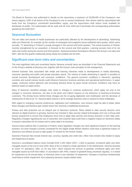The Board of Directors was authorised to decide on the repurchase a maximum of 16,000,000 of the Company's own shares (approx. 9.8% of all shares of the Company) in one or several instalments. Own shares shall be repurchased with funds from the Company's unrestricted shareholders' equity, and the repurchases shall reduce funds available for distribution of profits. The authorisation will be valid until 30 June 2019 and it terminates the corresponding authorisation granted by the AGM 2017.

#### **Seasonal fluctuation**

The net sales and results of media businesses are particularly affected by the development of advertising. Advertising sales are influenced, for example, by the number of newspaper and magazine issues published each quarter, which varies annually. TV advertising in Finland is usually strongest in the second and fourth quarters. The events business in Finland, recently strengthened by an acquisition, is focused on the second and third quarters. Learning accrues most of its net sales and results during the second and third quarters. Seasonal business fluctuations influence the Group's net sales and EBIT, with the first quarter traditionally being clearly the smallest one for both.

### **Significant near-term risks and uncertainties**

The most significant risks and uncertainty factors Sanoma currently faces are described in the Financial Statements and on the Group's website at Sanoma.com, together with the Group's main principles of risk management.

General business risks associated with media and learning industries relate to developments in media advertising, consumer spending and public and private education spend. The volume of media advertising in specific is sensitive to overall economic development and consumer confidence. The general economic conditions in Sanoma's operating countries and overall industry trends could influence Sanoma's business activities and operational performance. In paper supply, continued market tightness and increasing demand driven by good overall economic conditions may have an adverse impact on paper prices.

Many of Sanoma's identified strategic risks relate to changes in customer preferences, which apply not only to the changes in consumer behaviour, but also to the direct and indirect impacts on the behaviour of business-to-business customers. The driving forces behind these changes are the on-going digitisation and mobilisation and the decrease of viewing time of free-to-air TV. Sanoma takes actions in all its strategic business units to respond to these challenges.

With regard to changing customer preferences, digitisation and mobilisation, new entrants might be able to better utilise these changes and therefore gain market share from Sanoma's established businesses.

Privacy and data protection are an integral part of Sanoma's business. Risks related to data security become more relevant as digital business is growing. Sanoma has invested in data security related technologies and runs a Group-wide privacy programme to ensure that employees know how to apply data security and privacy practices in their daily work. Regulatory changes regarding the use of subscriber and customer data could have a negative impact on Sanoma's ability to acquire subscribers for its content and to utilise data in its business.

Sanoma faces political risks in particular in Poland, where legislative changes can have significant impacts on the learning business. EU level changes currently considered for the Digital Single Market Initiative could have a significant impact on Sanoma's cost efficient access to high quality TV content for the Finnish market.

Sanoma's financial risks include interest rate, currency, liquidity and credit risks. Other risks include risks related to equity and impairment of assets.

Sanoma's consolidated balance sheet included EUR 1,193 million (2017: 1,182) of goodwill, immaterial rights and other intangible assets at the end of June 2018. Most of this is related to media operations in the Netherlands. Sanoma divested its Dutch TV operations, SBS, on 19 July 2017, which reduced the amount of goodwill, immaterial rights and other intangible assets by EUR 916 million. In accordance with IFRS, instead of goodwill being amortised regularly, it is tested for impairment on an annual basis, or whenever there is any indication of impairment. Changes in business fundamentals could lead to further impairment, thus impacting Sanoma's equity-related ratios.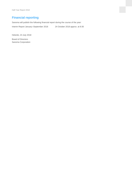## **Financial reporting**

Sanoma will publish the following financial report during the course of the year:

Interim Report January–September 2018 24 October 2018 approx. at 8:30

Helsinki, 23 July 2018

Board of Directors Sanoma Corporation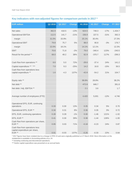### **Key indicators with non-adjusted figures for comparison periods in 2017 \***

| <b>EUR million</b>                                               | Q2 2018 | Q2 2017 | <b>Change</b> | H1 2018 | H1 2017  | <b>Change</b> | FY 2017  |
|------------------------------------------------------------------|---------|---------|---------------|---------|----------|---------------|----------|
| Net sales                                                        | 362.9   | 418.5   | $-13%$        | 624.5   | 748.3    | $-17%$        | 1,434.7  |
| <b>Operational EBITDA</b>                                        | 112.5   | 141.7   | $-21%$        | 156.9   | 227.5    | $-31%$        | 392.3    |
| margin                                                           | 31.0%   | 33.9%   |               | 25.1%   | 30.4%    |               | 27.3%    |
| <b>Operational EBIT</b>                                          | 79.8    | 75.7    | 5%            | 88.0    | 90.8     | $-3%$         | 176.7    |
| margin                                                           | 22.0%   | 18.1%   |               | 14.1%   | 12.1%    |               | 12.3%    |
| <b>EBIT</b>                                                      | 70.6    | 71.8    | $-2%$         | 79.0    | $-340.4$ | 123%          | $-240.5$ |
| Result for the period **                                         | 68.0    | 49.2    | 38%           | 62.9    | $-370.7$ | 117%          | $-299.3$ |
|                                                                  |         |         |               |         |          |               |          |
| Cash flow from operations **                                     | 8.6     | 5.0     | 72%           | $-28.6$ | $-37.4$  | 24%           | 141.2    |
| Capital expenditure ** ' ***                                     | 7.0     | 9.3     | $-25%$        | 14.2    | 16.8     | $-15%$        | 36.5     |
| Cash flow from operations less<br>capital expenditure **         | 1.6     | $-4.3$  | 137%          | $-42.8$ | $-54.2$  | 21%           | 104.7    |
|                                                                  |         |         |               |         |          |               |          |
| Equity ratio **                                                  |         |         |               | 36.6%   | 28.8%    |               | 38.2%    |
| Net debt **                                                      |         |         |               | 472.8   | 846.7    |               | 391.8    |
| Net debt / Adj. EBITDA **                                        |         |         |               | 2.1     | 3.6      |               | 1.7      |
|                                                                  |         |         |               |         |          |               |          |
| Average number of employees (FTE)                                |         |         |               | 4,420   | 5,001    | $-12%$        | 4,746    |
|                                                                  |         |         |               |         |          |               |          |
| Operational EPS, EUR, continuing                                 |         |         |               |         |          |               |          |
| operations                                                       | 0.33    | 0.30    | 13%           | 0.35    | 0.34     | 5%            | 0.70     |
| Operational EPS, EUR **                                          | 0.34    | 0.31    | 8%            | 0.36    | 0.35     | 3%            | 0.72     |
| EPS, EUR, continuing operations                                  | 0.28    | 0.28    | $-1%$         | 0.30    | $-1.46$  | 121%          | $-1.02$  |
| EPS, EUR **                                                      | 0.41    | 0.30    | 39%           | 0.38    | $-1.44$  | 126%          | $-1.00$  |
| Cash flow from operations per share,<br>EUR **                   | 0.05    | 0.03    | 71%           | $-0.18$ | $-0.23$  | 24%           | 0.87     |
| Cash flow from operations less<br>capital expenditure per share, |         |         |               |         |          |               |          |
| EUR **                                                           | 0.01    | $-0.03$ | 137%          | $-0.26$ | $-0.33$  | 22%           | 0.64     |

\* 2017 figures have been restated due to a change in IFRS 15 and were originally published on 27 March 2018. More information on the restatement is available in Accounting policies on p. 24.

\*\* Including continuing and discontinued operations.

\*\*\* Earlier capital expenditure was presented on an accrual basis.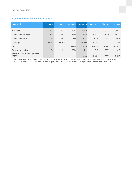### **Key indicators, Media Netherlands**

| <b>EUR million</b>                   | Q2 2018 | Q2 2017 | <b>Change</b> | H1 2018 | H1 2017  | <b>Change</b> | FY 2017  |
|--------------------------------------|---------|---------|---------------|---------|----------|---------------|----------|
| Net sales                            | 108.4   | 176.1   | $-38%$        | 204.2   | 325.6    | $-37%$        | 546.4    |
| <b>Operational EBITDA</b>            | 20.9    | 58.8    | $-64%$        | 37.2    | 103.1    | $-64%$        | 141.0    |
| <b>Operational EBIT</b>              | 19.5    | 23.7    | $-18%$        | 34.3    | 32.6     | 5%            | 65.8     |
| margin                               | 18.0%   | 13.5%   |               | 16.8%   | 10.0%    |               | 12.0%    |
| EBIT *                               | 8.7     | 16.9    | $-49%$        | 25.5    | $-391.5$ | 107%          | $-366.0$ |
| Capital expenditure                  | 0.3     | 1.2     | $-80%$        | 1.1     | 3.3      | $-66%$        | 4.0      |
| Average number of employees<br>(FTE) |         |         |               | 1.049   | 1.541    | $-32%$        | 1.316    |

\* Including IACs of EUR -10.8 million in Q2 2018, EUR -5.0 million in Q2 2017, EUR -8.8 million in H1 2018, EUR -429.6 million in H1 2017 and EUR -437.1 million in FY 2017. Full reconciliation of operational EBITDA and operational EBIT is presented in a separate table on p. 20.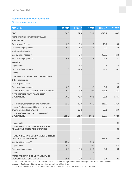### **Reconciliation of operational EBIT**

### Continuing operations

| <b>EUR million</b>                                                              | Q2 2018 | Q2 2017 | H1 2018 | H1 2017  | FY 2017  |
|---------------------------------------------------------------------------------|---------|---------|---------|----------|----------|
| <b>EBIT</b>                                                                     | 70.6    | 71.8    | 79.0    | $-340.4$ | $-240.5$ |
| Items affecting comparability (IACs)                                            |         |         |         |          |          |
| <b>Media Finland</b>                                                            |         |         |         |          |          |
| Capital gains /losses                                                           | 2.3     | 9.9     | 2.3     | 10.8     | 10.8     |
| Restructuring expenses                                                          | $-0.3$  | $-1.8$  | $-1.8$  | $-2.1$   | $-4.5$   |
| <b>Media Netherlands</b>                                                        |         |         |         |          |          |
| Capital gains /losses *                                                         |         | $-0.6$  |         | $-425.1$ | $-424.9$ |
| Restructuring expenses                                                          | $-10.8$ | $-4.5$  | $-8.8$  | $-4.5$   | $-12.1$  |
| Learning                                                                        |         |         |         |          |          |
| Impairments                                                                     |         | $-7.8$  |         | $-7.8$   | $-7.8$   |
| Restructuring expenses                                                          | $-1.3$  | $-1.3$  | $-1.6$  | $-1.8$   | $-6.2$   |
| <b>Others</b>                                                                   |         |         |         |          |          |
| Settlement of defined benefit pension plans                                     |         |         |         |          | 2.3      |
| <b>Other companies</b>                                                          |         |         |         |          |          |
| Capital gains /losses                                                           | 1.0     |         | 1.0     |          | 25.8     |
| Restructuring expenses                                                          | 0.0     | 2,1     | $-0.1$  | $-0,6$   | $-0,5$   |
| <b>ITEMS AFFECTING COMPARABILITY (IACs)</b>                                     | $-9.2$  | $-3.9$  | $-9.0$  | $-431.2$ | $-417.2$ |
| <b>OPERATIONAL EBIT, CONTINUING</b>                                             |         |         |         |          |          |
| <b>OPERATIONS</b>                                                               | 79.8    | 75.7    | 88.0    | 90.8     | 176.7    |
| Depreciation, amortization and impairments                                      | 32.7    | 40.8    | 68.9    | 111.5    | 191.0    |
| Items affecting comparability in depreciation,                                  |         |         |         |          |          |
| amortization and impairments                                                    |         | $-25.2$ |         | $-25.2$  | $-24.6$  |
| <b>OPERATIONAL EBITDA, CONTINUING</b>                                           |         |         |         |          |          |
| <b>OPERATIONS</b>                                                               | 112.5   | 141.7   | 156.9   | 227.5    | 392.3    |
|                                                                                 |         |         |         |          |          |
| Impairments                                                                     |         |         |         |          | $-0.1$   |
| <b>ITEMS AFFECTING COMPARABILITY IN</b><br><b>FINANCIAL INCOME AND EXPENSES</b> |         |         |         |          | $-0.1$   |
|                                                                                 |         |         |         |          |          |
| <b>ITEMS AFFECTING COMPARABILITY IN NON-</b><br><b>CONTROLLING INTEREST *</b>   |         | 0.7     |         | 138.5    | 138.4    |
| Capital gains/losses **                                                         | 33.0    |         | 33.0    |          |          |
| Impairments                                                                     | $-0.4$  |         | $-0.4$  |          | $-2.5$   |
| Restructuring expenses                                                          | $-3.2$  | $-0.3$  | $-20.9$ | $-0.3$   | $-0.5$   |
| Others                                                                          |         |         | 3.6     |          |          |
| <b>ITEMS AFFECTING COMPARABILITY IN</b>                                         |         |         |         |          |          |
| <b>DISCONTINUED OPERATIONS</b>                                                  | 29.4    | $-0.3$  | 15.3    | $-0.3$   | $-3.1$   |

\* In 2017, the capital loss of EUR -424.2 million and a EUR 138.3 million adjustment in non-controlling interests were related to the SBS divestment. Total impact of the transaction in the net result was -286.2 million.

\*\* In 2018, the capital gain of EUR 33.0 million is related to the divestment of Belgian women's magazine portfolio.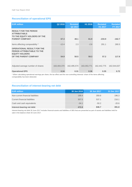### **Reconciliation of operational EPS**

| <b>EUR million</b>                                                                                                       | Q2 2018     | <b>Restated</b><br>Q2 2017 | H1 2018     | <b>Restated</b><br>H1 2017 | <b>Restated</b><br><b>FY 2017</b> |
|--------------------------------------------------------------------------------------------------------------------------|-------------|----------------------------|-------------|----------------------------|-----------------------------------|
| <b>RESULT FOR THE PERIOD</b><br><b>ATTRIBUTABLE</b><br>TO THE EQUITY HOLDERS OF THE<br><b>PARENT COMPANY</b>             | 67.3        | 48.1                       | 61.9        | $-233.9$                   | $-162.7$                          |
|                                                                                                                          |             |                            |             |                            |                                   |
| Items affecting comparability *                                                                                          | $-12.4$     | 2.3                        | $-2.6$      | 291.1                      | 280.5                             |
| <b>OPERATIONAL RESULT FOR THE</b><br><b>PERIOD ATTRIBUTABLE TO THE</b><br><b>EQUITY HOLDERS</b><br>OF THE PARENT COMPANY | 54.9        | 50.5                       | 59.3        | 57.2                       | 117.8                             |
|                                                                                                                          |             |                            |             |                            |                                   |
| Adjusted average number of shares                                                                                        | 163,404,370 | 162,495,574                | 163,353,771 | 162,442,775                | 162,544,637                       |
| <b>Operational EPS</b>                                                                                                   | 0.34        | 0.31                       | 0.36        | 0.35                       | 0.72                              |

\* When calculating operational earnings per share, the tax effect and the non-controlling interests' share of the items affecting comparability has been deducted.

### **Reconciliation of interest-bearing net debt**

| <b>EUR million</b>                | 30 Jun 2018 | 30 Jun 2017 | 31 Dec 2017 |
|-----------------------------------|-------------|-------------|-------------|
| Non-current financial liabilities | 199.4       | 359.8       | 196.3       |
| Current financial liabilities     | 307.5       | 537.1       | 216.1       |
| Cash and cash equivalents         | $-34.1$     | $-50.2$     | $-20.6$     |
| Interest-bearing net debt         | 472.8       | 846.7       | 391.8       |

Interest-bearing net debt 30 June 2017 includes financial assets and liabilities of SBS that are presented as part of assets and liabilities held for sale in the balance sheet 30 June 2017.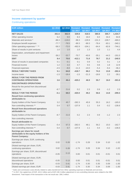### **Income statement by quarter**

### Continuing operations

| <b>EUR million</b>                                                                                   | Q1 2018 | Q2 2018  | <b>Restated</b> | <b>Restated</b> | <b>Restated</b> | <b>Restated</b> | <b>Restated</b> |
|------------------------------------------------------------------------------------------------------|---------|----------|-----------------|-----------------|-----------------|-----------------|-----------------|
|                                                                                                      |         |          | Q1 2017         | Q2 2017         | Q3 2017         | Q4 2017         | FY 2017         |
| <b>NET SALES</b>                                                                                     | 261.6   | 362.9    | 329.8           | 418.5           | 380.8           | 305.7           | 1,434.7         |
| Other operating income                                                                               | 6.2     | 9.0      | 8.3             | 16.0            | 6.0             | 34.4            | 64.8            |
| Materials and services *                                                                             | $-88.3$ | $-119.0$ | $-98.3$         | $-129.9$        | $-131.3$        | $-109.7$        | $-469.2$        |
| Employee benefit expenses                                                                            | $-77.7$ | $-78.5$  | $-89.3$         | $-89.3$         | $-78.4$         | $-83.1$         | $-340.1$        |
| Other operating expenses * ' **                                                                      | $-58.3$ | $-72.0$  | $-492.9$        | $-104.1$        | $-64.4$         | $-82.8$         | $-744.1$        |
| Share of results in joint ventures                                                                   | 1.0     | 1.0      | 1.0             | 1.3             | 1.0             | 1.1             | 4.4             |
| Depreciation, amortisation and impairment<br>losses                                                  | $-36.2$ | $-32.7$  | $-70.7$         | $-40.8$         | $-35.1$         | $-44.3$         | $-191.0$        |
| <b>EBIT</b>                                                                                          | 8.4     | 70.6     | $-412.1$        | 71.8            | 78.7            | 21.2            | $-240.5$        |
| Share of results in associated companies                                                             | 0.1     | $-0.1$   | 0.1             | 0.9             | 0.2             | 0.1             | 1.4             |
| <b>Financial income</b>                                                                              | 1.2     | 2.2      | 4.7             | 5.5             | 0.8             | 1.8             | 12.9            |
| <b>Financial expenses</b>                                                                            | $-4.5$  | $-8.0$   | $-11.3$         | $-10.0$         | $-5.4$          | $-9.4$          | $-36.2$         |
| <b>RESULT BEFORE TAXES</b>                                                                           | 5.1     | 64.8     | $-418.7$        | 68.2            | 74.3            | 13.8            | $-262.4$        |
| Income taxes                                                                                         | $-1.5$  | $-18.4$  | $-1.5$          | $-21.3$         | $-18.6$         | 2.2             | $-39.1$         |
| <b>RESULT FOR THE PERIOD FROM</b><br><b>CONTINUING OPERATIONS</b>                                    | 3.6     | 46.4     | $-420.2$        | 46.9            | 55.7            | 16.0            | $-301.6$        |
| <b>DISCONTINUED OPERATIONS</b>                                                                       |         |          |                 |                 |                 |                 |                 |
| Result for the period from discontinued                                                              |         |          |                 |                 |                 |                 |                 |
| operations                                                                                           | $-8.7$  | 21.6     | 0.2             | 2.3             | 0.9             | $-1.2$          | 2.3             |
| <b>RESULT FOR THE PERIOD</b>                                                                         | $-5.1$  | 68.0     | $-420.0$        | 49.2            | 56.6            | 14.8            | $-299.3$        |
| <b>Result from continuing operations</b><br>attributable to:                                         |         |          |                 |                 |                 |                 |                 |
| Equity holders of the Parent Company                                                                 | 3.2     | 45.7     | $-282.3$        | 45.9            | 55.3            | 16.2            | $-165.0$        |
| Non-controlling interests **                                                                         | 0.4     | 0.7      | $-137.9$        | 1.1             | 0.4             | $-0.2$          | $-136.6$        |
| <b>Result from discontinued operations</b><br>attributable to:                                       |         |          |                 |                 |                 |                 |                 |
| Equity holders of the Parent Company                                                                 | $-8.7$  | 21.6     | 0.2             | 2.3             | 0.9             | $-1.2$          | 2.3             |
| Non-controlling interests                                                                            |         |          |                 |                 |                 |                 |                 |
| <b>Result attributable to:</b>                                                                       |         |          |                 |                 |                 |                 |                 |
| Equity holders of the Parent Company                                                                 | $-5.4$  | 67.3     | $-282.0$        | 48.1            | 56.2            | 15.0            | $-162.7$        |
| Non-controlling interests **                                                                         | 0.4     | 0.7      | $-137.9$        | 1.1             | 0.4             | $-0.2$          | $-136.6$        |
| Earnings per share for result<br>attributable to the equity holders of the<br><b>Parent Company:</b> |         |          |                 |                 |                 |                 |                 |
| Earnings per share, EUR, continuing                                                                  |         |          |                 |                 |                 |                 |                 |
| operations                                                                                           | 0.02    | 0.28     | $-1.74$         | 0.28            | 0.34            | 0.10            | $-1.02$         |
| Diluted earnings per share, EUR,<br>continuing operations                                            | 0.02    | 0.28     | $-1.74$         | 0.28            | 0.34            | 0.10            | $-1.02$         |
| Earnings per share, EUR, discontinued                                                                |         | 0.13     |                 |                 |                 |                 |                 |
| operations                                                                                           | $-0.05$ |          | 0.00            | 0.01            | 0.01            | $-0.01$         | 0.01            |
| Diluted earnings per share, EUR,                                                                     |         |          |                 |                 |                 |                 |                 |
| discontinued operations                                                                              | $-0.05$ | 0.13     | 0.00            | 0.01            | 0.01            | $-0.01$         | 0.01            |
| Earnings per share, EUR                                                                              | $-0.03$ | 0.41     | $-1.74$         | 0.30            | 0.35            | 0.09            | $-1.00$         |
| Diluted earnings per share, EUR                                                                      | $-0.03$ | 0.41     | $-1.74$         | 0.30            | 0.34            | 0.09            | $-1.00$         |

\* Sales and commission costs directly related to sales transferred from Other operating expenses to Materials and services.

\*\* In 2017, the capital loss of EUR -424.2 million and a EUR 138.3 million adjustment in non-controlling interests were related to the SBS divestment. Total impact of the transaction in the net result was -286.2 million.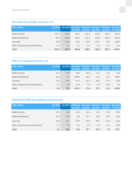## **Net sales by strategic business unit**

| <b>EUR million</b>               | Q1 2018 |        | Q1 2017 | Q <sub>2</sub> 2017 | Q3 2017 | Q2 2018 Restated Restated Restated Restated Restated<br>Q4 2017 | <b>FY 2017</b> |
|----------------------------------|---------|--------|---------|---------------------|---------|-----------------------------------------------------------------|----------------|
| Media Finland                    | 137.0   | 146.2  | 144.1   | 144.5               | 131.3   | 150.4                                                           | 570.4          |
| Media Netherlands                | 95.8    | 108.4  | 149.5   | 176.1               | 103.9   | 116.9                                                           | 546.4          |
| Learning                         | 28.9    | 108.3  | 36.2    | 97.9                | 145.7   | 38.5                                                            | 318.3          |
| Other companies and eliminations | $-0.1$  | $-0.1$ | $-0.1$  | $-0.1$              | $-0.1$  | $-0.2$                                                          | $-0.4$         |
| <b>Total</b>                     | 261.6   | 362.9  | 329.8   | 418.5               | 380.8   | 305.7                                                           | 1,434.7        |

## **EBIT by strategic business unit**

| <b>EUR million</b>               | Q1 2018 |        | Q1 2017  | Q2 2017 | Q3 2017 | Q2 2018 Restated Restated Restated Restated Restated<br>Q4 2017 | <b>FY 2017</b> |
|----------------------------------|---------|--------|----------|---------|---------|-----------------------------------------------------------------|----------------|
| Media Finland                    | 11.6    | 20.5   | 19.6     | 30.5    | 13.5    | 8.2                                                             | 71.8           |
| Media Netherlands                | 16.9    | 8.7    | $-408.4$ | 16.9    | 11.3    | 14.2                                                            | $-366.0$       |
| Learning                         | $-18.4$ | 42.4   | $-11.4$  | 22.8    | 56.2    | $-23.7$                                                         | 43.9           |
| Other companies and eliminations | $-1.7$  | $-0.9$ | $-11.8$  | 1.5     | $-2.4$  | 22.6                                                            | 9.8            |
| <b>Total</b>                     | 8.4     | 70.6   | $-412.1$ | 71.8    | 78.7    | 21.2                                                            | $-240.5$       |

## **Operational EBIT by strategic business unit**

| <b>EUR million</b>               | Q1 2018 |        | Q1 2017 | Q <sub>2</sub> 2017 | Q3 2017 | Q2 2018 Restated Restated Restated Restated Restated<br>Q4 2017 | <b>FY 2017</b> |
|----------------------------------|---------|--------|---------|---------------------|---------|-----------------------------------------------------------------|----------------|
| Media Finland                    | 13.1    | 18.6   | 19.0    | 22.4                | 14.2    | 9.8                                                             | 65.5           |
| Media Netherlands                | 14.9    | 19.5   | 8.9     | 23.7                | 14.0    | 19.2                                                            | 65.8           |
| Learning                         | $-18.0$ | 43.7   | $-10.9$ | 31.9                | 56.1    | $-21.6$                                                         | 55.6           |
| Other companies and eliminations | $-1.7$  | $-1.9$ | $-1.9$  | $-2.4$              | $-2.9$  | $-3.0$                                                          | $-10.2$        |
| <b>Total</b>                     | 8.2     | 79.8   | 15.2    | 75.7                | 81.4    | 4.4                                                             | 176.7          |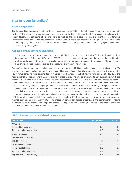## **Interim report (unaudited)**

#### **Accounting policies**

The Sanoma Group prepared its Interim Report in accordance with IAS 34 'Interim Financial Reporting' while adhering to related IFRS standards and interpretations applicable within the EU on 30 June 2018. The accounting policies of the Interim Report, the definitions of key indicators as well as the explanations of use and definitions of Alternative Performance Measures (APMs) are presented on the Sanoma website at Sanoma.com. All figures have been rounded and consequently the sum of individual figures can deviate from the presented sum figure. Key figures have been calculated using exact figures.

#### **Applied new and amended standards**

IFRS 15 Revenue from Contracts with Customers and Clarifications to IFRS 15 (both effective for financial periods beginning on or after 1 January 2018). Under IFRS 15 revenue is recognised at an amount that reflects the consideration to which an entity expects to be entitled in exchange for transferring goods or services to a customer. The principles in IFRS 15 provide a more structured approach to measuring and recognising revenue.

Sanoma's main revenue streams include magazine and newspaper publishing (circulation sales and advertising sales), TV and Radio operations, online and mobile revenues and learning solutions. For all revenue streams contract reviews of the key revenue contracts were documented. In magazines and newspaper publishing, the main impact of IFRS 15 is the need to identify additional performance obligations in cases of providing gifts as premiums to new subscribers, which are recognized at a point in time. TV and Radio revenue recognition is strongly linked to individual performance obligations, hence the impact of IFRS15 is limited. In learning solutions, the main impacts of IFRS 15 are related to revenues of hybrid products (combining print and digital products). In some cases, there is a need to acknowledge multiple performance obligations, which are to be recognised at different moments (over time or at a point in time), depending on the characteristics of the performance obligations. The impact of IFRS 15 on the Group's annual net sales is insignificant, although the phasing over individual quarters is affected. Sanoma has applied the full retrospective method when adopting IFRS 15 as of 1 January 2018. The cumulative effect of applying IFRS 15 has been recognized in opening balance of retained earnings as at 1 January 2017. The impact on comparison figures presented in the comprehensive income statement 2017 were disclosed in a separate release. The impact on comparison figures related to the balance sheet and cash flow statement are shown in the following tables.

#### **IFRS 15 impact on consolidated balance sheet**

| <b>EUR million</b>                   | 30 Jun 2017 | 31 Dec 2017 |
|--------------------------------------|-------------|-------------|
| <b>ASSETS</b>                        |             |             |
| Deferred tax receivables             | 0.6         | 0.6         |
| Trade and other receivables          | 0.2         | 0.3         |
| <b>ASSETS, TOTAL</b>                 | 0.8         | 0.9         |
| <b>EQUITY AND LIABILITIES</b>        |             |             |
| EQUITY, TOTAL                        | $-4.7$      | $-7.4$      |
| Deferred tax liabilities             | 0.3         | 0.3         |
| Income tax liabilities               | $-1.5$      | $-2.1$      |
| Trade and other payables             | 6.7         | 10.2        |
| <b>EQUITY AND LIABILITIES, TOTAL</b> | 0.8         | 0.9         |
|                                      |             |             |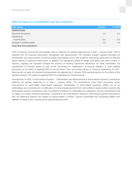#### **IFRS 15 impact on consolidated cash flow statement**

| <b>EUR million</b>               | H <sub>1</sub> 2017      | <b>FY 2017</b> |
|----------------------------------|--------------------------|----------------|
| <b>OPERATIONS</b>                |                          |                |
| Result for the period            | 1.4                      | $-1.2$         |
| Adjustments                      |                          |                |
| Income taxes                     | 0.5                      | $-0.3$         |
| Change in working capital        | $-1.9$                   | 1.5            |
| <b>Cash flow from operations</b> | $\overline{\phantom{a}}$ |                |
|                                  |                          |                |

IFRS 9 Financial Instruments and changes there to (effective for periods beginning on or after 1 January 2018). IFRS 9 replaced IAS 39 Financial Instruments: Recognition and Measurement. The standard includes updated principles for classification and measurement of financial assets and liabilities and a new model for estimating impairments of financial assets based on expected credit losses. In addition, the regulations related to hedge accounting have been revised. In Sanoma, applying the standard changed the process of booking impairment allowances for trade receivables, the classification of financial assets as well as the accounting for modifications of financial liabilities. A more detailed description of the effect of applying IFRS 9 can be found in the accounting policies of Financial Statements for 2017. Sanoma did not apply the standard retrospectively but adjusted the 1 January 2018 opening balance for the effects of the standard instead. The impact of applying IFRS 9 is insignificant for Sanoma Group.

Amendments to IFRS 2 Share-based Payment – Classification and Measurement of Share-based Payment Transactions (effective for periods beginning on or after 1 January 2018). The amendments cover three accounting areas: measurement of cash-settled share-based payments, classification of share-based payments settled net of tax withholdings and accounting for a modification of a share-based payment from cash-settled to equity-settled. Sanoma has share-based payment transactions with net settlement features for withholding tax obligations and the amendments had an impact on Group's financial statements. According to the amendments Sanoma's share-based payment transactions with net settlement features are treated as equity-settled in entirety. Sanoma reclassified the recognised liability from liabilities to equity in the 1 January 2018 opening balance sheet.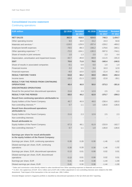#### **Consolidated income statement**

### Continuing operations

| <b>EUR million</b>                                                                         | Q2 2018  | <b>Restated</b><br>Q2 2017 | H1 2018  | <b>Restated</b><br>H1 2017 | <b>Restated</b><br>FY 2017 |
|--------------------------------------------------------------------------------------------|----------|----------------------------|----------|----------------------------|----------------------------|
| <b>NET SALES</b>                                                                           | 362.9    | 418.5                      | 624.5    | 748.3                      | 1,434.7                    |
| Other operating income                                                                     | 9.0      | 16.0                       | 15.2     | 24.3                       | 64.8                       |
| Materials and services *                                                                   | $-119.0$ | $-129.9$                   | $-207.4$ | $-228.2$                   | $-469.2$                   |
| Employee benefit expenses                                                                  | $-78.5$  | $-89.3$                    | $-156.2$ | $-178.6$                   | $-340.1$                   |
| Other operating expenses * ' **                                                            | $-72.0$  | $-104.1$                   | $-130.3$ | $-597.0$                   | $-744.1$                   |
| Share of results in joint ventures                                                         | 1.0      | 1.3                        | 2.0      | 2.3                        | 4.4                        |
| Depreciation, amortisation and impairment losses                                           | $-32.7$  | $-40.8$                    | $-68.9$  | $-111.5$                   | $-191.0$                   |
| <b>EBIT</b>                                                                                | 70.6     | 71.8                       | 79.0     | $-340.4$                   | $-240.5$                   |
| Share of results in associated companies                                                   | $-0.1$   | 0.9                        | 0.0      | 1.0                        | 1.4                        |
| <b>Financial income</b>                                                                    | 2.2      | 5.5                        | 3.4      | 10.3                       | 12.9                       |
| <b>Financial expenses</b>                                                                  | $-8.0$   | $-10.0$                    | $-12.5$  | $-21.4$                    | $-36.2$                    |
| <b>RESULT BEFORE TAXES</b>                                                                 | 64.8     | 68.2                       | 69.9     | $-350.5$                   | $-262.4$                   |
| Income taxes                                                                               | $-18.4$  | $-21.3$                    | $-19.9$  | $-22.8$                    | $-39.1$                    |
| <b>RESULT FOR THE PERIOD FROM CONTINUING</b><br><b>OPERATIONS</b>                          | 46.4     | 46.9                       | 50.0     | $-373.3$                   | $-301.6$                   |
| <b>DISCONTINUED OPERATIONS</b>                                                             |          |                            |          |                            |                            |
| Result for the period from discontinued operations                                         | 21.6     | 2.3                        | 12.9     | 2.5                        | 2.3                        |
| <b>RESULT FOR THE PERIOD</b>                                                               | 68.0     | 49.2                       | 62.9     | $-370.7$                   | $-299.3$                   |
| Result from continuing operations attributable to:                                         |          |                            |          |                            |                            |
| Equity holders of the Parent Company                                                       | 45.7     | 45.9                       | 49.0     | $-236.4$                   | $-165.0$                   |
| Non-controlling interests **                                                               | 0.7      | 1.1                        | 1.0      | $-136.8$                   | $-136.6$                   |
| <b>Result from discontinued operations</b><br>attributable to:                             |          |                            |          |                            |                            |
| Equity holders of the Parent Company                                                       | 21.6     | 2.3                        | 12.9     | 2.5                        | 2.3                        |
| Non-controlling interests                                                                  |          |                            |          |                            |                            |
| <b>Result attributable to:</b>                                                             |          |                            |          |                            |                            |
| Equity holders of the Parent Company                                                       | 67.3     | 48.1                       | 61.9     | $-233.9$                   | $-162.7$                   |
| Non-controlling interests **                                                               | 0.7      | 1.1                        | 1.0      | $-136.8$                   | $-136.6$                   |
|                                                                                            |          |                            |          |                            |                            |
| Earnings per share for result attributable<br>to the equity holders of the Parent Company: |          |                            |          |                            |                            |
| Earnings per share, EUR, continuing operations                                             | 0.28     | 0.28                       | 0.30     | $-1.46$                    | $-1.02$                    |
| Diluted earnings per share, EUR, continuing<br>operations                                  | 0.28     | 0.28                       | 0.30     | $-1.46$                    | $-1.02$                    |
| Earnings per share, EUR, discontinued operations                                           | 0.13     | 0.01                       | 0.08     | 0.02                       | 0.01                       |
| Diluted earnings per share, EUR, discontinued                                              |          |                            |          |                            |                            |
| operations                                                                                 | 0.13     | 0.01                       | 0.08     | 0.02                       | 0.01                       |
| Earnings per share, EUR                                                                    | 0.41     | 0.30                       | 0.38     | $-1.44$                    | $-1.00$                    |
| Diluted earnings per share, EUR                                                            | 0.41     | 0.30                       | 0.38     | $-1.44$                    | $-1.00$                    |

\* Sales and commission costs directly related to sales transferred from Other operating expenses to Materials and services.

\*\* In 2017, the capital loss of EUR -424.2 million and a EUR 138.3 million adjustment in non-controlling interests were related to the SBS divestment. Total impact of the transaction in the net result was -286.2 million.

Divested Belgian women's magazine portfolio is classified as discontinued operations in the Q2 2018 and 2017 reporting.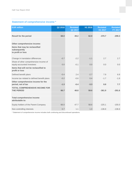## **Statement of comprehensive income \***

| <b>EUR million</b>                                                                                 | Q2 2018 | <b>Restated</b><br>Q2 2017 | H1 2018 | <b>Restated</b><br>H1 2017 | <b>Restated</b><br>FY 2017 |
|----------------------------------------------------------------------------------------------------|---------|----------------------------|---------|----------------------------|----------------------------|
| <b>Result for the period</b>                                                                       | 68.0    | 49.2                       | 62.9    | $-370.7$                   | $-299.3$                   |
| Other comprehensive income:<br>Items that may be reclassified<br>subsequently<br>to profit or loss |         |                            |         |                            |                            |
| Change in translation differences                                                                  | $-0.7$  | $-2.2$                     | $-1.1$  | 2.7                        | 2.7                        |
| Share of other comprehensive income of<br>equity-accounted investees                               | 0.0     | $-0.1$                     | 0.0     | 0.0                        | 0.0                        |
| Items that will not be reclassified to<br>profit or loss                                           |         |                            |         |                            |                            |
| Defined benefit plans                                                                              | $-0.4$  | 2.4                        | $-2.7$  | 7.9                        | 6.9                        |
| Income tax related to defined benefit plans                                                        | $-0.2$  | $-0.6$                     | 0.4     | $-1.7$                     | $-1.9$                     |
| Other comprehensive income for the<br>period, net of tax                                           | $-1.3$  | $-0.4$                     | $-3.3$  | 8.8                        | 7.7                        |
| <b>TOTAL COMPREHENSIVE INCOME FOR</b><br><b>THE PERIOD</b>                                         | 66.7    | 48.8                       | 59.6    | $-361.9$                   | $-291.6$                   |
|                                                                                                    |         |                            |         |                            |                            |
| <b>Total comprehensive income</b><br>attributable to:                                              |         |                            |         |                            |                            |
| Equity holders of the Parent Company                                                               | 66.0    | 47.7                       | 58.6    | $-225.1$                   | $-155.0$                   |
| Non-controlling interests                                                                          | 0.7     | 1.1                        | 1.0     | $-136.8$                   | $-136.6$                   |

\* Statement of comprehensive income includes both continuing and discontinued operations.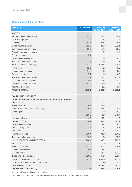#### **Consolidated balance sheet**

| <b>EUR million</b>                                              | 30 Jun 2018 | <b>Restated</b> | <b>Restated</b> |
|-----------------------------------------------------------------|-------------|-----------------|-----------------|
|                                                                 |             | 30 Jun 2017     | 31 Dec 2017     |
| <b>ASSETS</b>                                                   |             |                 |                 |
| Property, plant and equipment                                   | 41.4        | 52.1            | 44.7            |
| Investment property                                             | 12.9        | 24.1            | 13.9            |
| Goodwill                                                        | 941.5       | 935.2           | 934.6           |
| Other intangible assets                                         | 251.2       | 246.6           | 251.1           |
| Equity-accounted investees                                      | 16.5        | 17.1            | 20.8            |
| Available-for-sale financial assets                             |             | 5.0             | 4.0             |
| Other investments                                               | 5.1         |                 |                 |
| Deferred tax receivables                                        | 13.5        | 25.4            | 18.0            |
| Trade and other receivables                                     | 22.1        | 16.6            | 22.7            |
| NON-CURRENT ASSETS, TOTAL                                       | 1,304.0     | 1,322.1         | 1,309.8         |
| Inventories                                                     | 51.3        | 53.1            | 40.5            |
| Income tax receivables                                          | 14.9        | 13.2            | 6.9             |
| Contract assets                                                 | 7.7         | 11.4            | 6.2             |
| Trade and other receivables                                     | 259.2       | 257.3           | 203.7           |
| Cash and cash equivalents                                       | 34.1        | 24.4            | 20.6            |
| <b>CURRENT ASSETS, TOTAL</b>                                    | 367.2       | 359.5           | 277.8           |
| Assets held for sale                                            |             | 522.1           | 2.4             |
| <b>ASSETS, TOTAL</b>                                            | 1,671.1     | 2,203.7         | 1,590.1         |
|                                                                 |             |                 |                 |
| <b>EQUITY AND LIABILITIES</b>                                   |             |                 |                 |
| Equity attributable to the equity holders of the Parent Company |             |                 |                 |
| Share capital                                                   | 71.3        | 71.3            | 71.3            |
| <b>Treasury shares</b>                                          | $-0.7$      | $-1.4$          | $-1.4$          |
| Fund for invested unrestricted equity                           | 209.8       | 203.3           | 209.8           |
| Other equity                                                    | 273.5       | 169.8           | 265.8           |
|                                                                 | 553.8       | 443.0           | 545.4           |
| Non-controlling interests                                       | 4.9         | 150.9           | 1.7             |
| EQUITY, TOTAL                                                   | 558.7       | 593.9           | 547.1           |
| Deferred tax liabilities                                        | 37.4        | 39.5            | 38.5            |
| Pension obligations                                             | 11.8        | 5.8             | 9.7             |
| Provisions                                                      | 7.7         | 7.1             | 9.0             |
| <b>Financial liabilities</b>                                    | 199.4       | 323.8           | 196.3           |
| Trade and other payables                                        | 12.2        | 10.8            | 19.7            |
| NON-CURRENT LIABILITIES, TOTAL                                  | 268.4       | 387.1           | 273.3           |
| Provisions                                                      | 35.3        | 10.6            | 17.1            |
| <b>Financial liabilities</b>                                    | 307.5       | 527.1           | 216.1           |
| Income tax liabilities                                          | 25.1        | 26.2            | 13.0            |
| <b>Contract liabilities</b>                                     | 137.3       | 136.4           | 153.3           |
| Trade and other payables                                        | 338.8       | 350.5           | 359.7           |
| <b>CURRENT LIABILITIES, TOTAL</b>                               | 843.9       | 1,050.8         | 759.2           |
| Liabilities related to assets held for sale                     |             | 172.0           | 10.6            |
| <b>LIABILITIES, TOTAL</b>                                       | 1,112.4     | 1,609.8         | 1,043.0         |
| <b>EQUITY AND LIABILITIES, TOTAL</b>                            | 1,671.1     | 2,203.7         | 1,590.1         |

Includes continuing and discontinued operations.

On 30 June 2017, assets held for sale included SBS that was classified as assets held for sale in March 2017.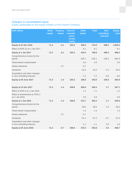### **Changes in consolidated equity**

Equity attributable to the equity holders of the Parent Company

| <b>EUR million</b>                                             | <b>Share</b><br>capital | <b>Treasury</b><br>shares | <b>Fund for</b><br>invested<br>unres-<br>tricted<br>equity | <b>Other</b><br>equity | <b>Total</b> | Non-<br>controlling<br><b>interests</b> | Equity,<br>total |
|----------------------------------------------------------------|-------------------------|---------------------------|------------------------------------------------------------|------------------------|--------------|-----------------------------------------|------------------|
| Equity at 31 Dec 2016                                          | 71.3                    | $-2.1$                    | 203.3                                                      | 440.5                  | 713.0        | 289.5                                   | 1,002.5          |
| Effect of IFRS 15 on 1 Jan 2017                                |                         |                           |                                                            | $-6.1$                 | $-6.1$       |                                         | $-6.1$           |
| Equity at 1 Jan 2017                                           | 71.3                    | $-2.1$                    | 203.3                                                      | 434.4                  | 706.8        | 289.5                                   | 996.4            |
| Comprehensive income for the<br>period                         |                         |                           |                                                            | $-225.1$               | $-225.1$     | $-136.8$                                | $-361.9$         |
| Share-based compensation                                       |                         |                           |                                                            | 0.9                    | 0.9          |                                         | 0.9              |
| Shares delivered                                               |                         | 0.7                       |                                                            | $-0.7$                 |              |                                         |                  |
| <b>Dividends</b>                                               |                         |                           |                                                            | $-32.5$                | $-32.5$      | $-1.0$                                  | $-33.5$          |
| Acquisitions and other changes<br>in non-controlling interests |                         |                           |                                                            | $-7.2$                 | $-7.2$       | $-0.8$                                  | $-8.0$           |
| Equity at 30 June 2017                                         | 71.3                    | $-1.4$                    | 203.3                                                      | 169.8                  | 443.0        | 150.9                                   | 593.9            |
|                                                                |                         |                           |                                                            |                        |              |                                         |                  |
| Equity at 31 Dec 2017                                          | 71.3                    | $-1.4$                    | 209.8                                                      | 265.8                  | 545.4        | 1.7                                     | 547.1            |
| Effect of IFRS 9 on 1 Jan 2018                                 |                         |                           |                                                            | 1.1                    | 1.1          |                                         | 1.1              |
| Effect of amendments to IFRS 2<br>on 1 Jan 2018                |                         |                           |                                                            | 5.8                    | 5.8          |                                         | 5.8              |
| Equity at 1 Jan 2018                                           | 71.3                    | $-1.4$                    | 209.8                                                      | 272.7                  | 552.3        | 1.7                                     | 553.9            |
| Comprehensive income for the<br>period                         |                         |                           |                                                            | 58.6                   | 58.6         | 1.0                                     | 59.6             |
| Share-based compensation                                       |                         |                           |                                                            | 1.3                    | 1.3          |                                         | 1.3              |
| Shares delivered                                               |                         | 0.7                       |                                                            | $-0.7$                 |              |                                         |                  |
| <b>Dividends</b>                                               |                         |                           |                                                            | $-57.2$                | $-57.2$      | $-0.7$                                  | $-57.9$          |
| Acquisitions and other changes<br>in non-controlling interests |                         |                           |                                                            | $-1.1$                 | $-1.1$       | 3.0                                     | 1.8              |
| Equity at 30 June 2018                                         | 71.3                    | $-0.7$                    | 209.8                                                      | 273.5                  | 553.8        | 4.9                                     | 558.7            |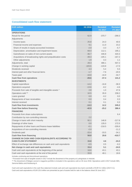#### **Consolidated cash flow statement**

| <b>EUR million</b>                                                             | H1 2018  | <b>Restated</b><br>H1 2017 | <b>Restated</b><br>FY 2017 |
|--------------------------------------------------------------------------------|----------|----------------------------|----------------------------|
| <b>OPERATIONS</b>                                                              |          |                            |                            |
| Result for the period                                                          | 62.9     | $-370.7$                   | $-299.3$                   |
| Adjustments                                                                    |          |                            |                            |
| Income taxes                                                                   | 25.8     | 24.3                       | 40.5                       |
| Financial income and expenses                                                  | 9.1      | 11.0                       | 23.2                       |
| Share of results in equity-accounted investees                                 | $-2.0$   | $-3.3$                     | $-5.7$                     |
| Depreciation. amortisation and impairment losses                               | 69.4     | 112.1                      | 195.1                      |
| Gains/losses on sales of non-current assets                                    | $-36.7$  | 446.8                      | 420.3                      |
| Acquisitions of broadcasting rights and prepublication costs                   | $-39.3$  | $-105.1$                   | $-167.2$                   |
| Other adjustments                                                              | 1.9      | 0.3                        | 1.1                        |
| Adjustments, total                                                             | 28.3     | 486.1                      | 507.2                      |
| Change in working capital                                                      | $-103.6$ | $-133.8$                   | $-17.0$                    |
| Dividends received                                                             | 4.3      | 5.4                        | 5.5                        |
| Interest paid and other financial items                                        | $-1.7$   | $-7.6$                     | $-20.5$                    |
| Taxes paid                                                                     | $-18.8$  | $-16.9$                    | $-34.7$                    |
| <b>Cash flow from operations</b>                                               | $-28.6$  | $-37.4$                    | 141.2                      |
| <b>INVESTMENTS</b>                                                             |          |                            |                            |
| Capital expenditure                                                            | $-14.2$  | $-16.8$                    | $-36.5$                    |
| Operations acquired                                                            | $-13.6$  | $-8.2$                     | $-4.6$                     |
| Proceeds from sale of tangible and intangible assets *                         | 2.8      | 1.0                        | 47.6                       |
| Operations sold **                                                             | 10.5     | 35.9                       | 238.2                      |
| Loans granted                                                                  | 0.0      | $-0.2$                     | 0.0                        |
| Repayments of loan receivables                                                 | 0.0      | 0.4                        | 0.3                        |
| Interest received                                                              | 0.1      | 0.1                        | 0.3                        |
| <b>Cash flow from investments</b>                                              | $-14.3$  | 12.2                       | 245.2                      |
| <b>Cash flow before financing</b>                                              | $-42.9$  | $-25.2$                    | 386.4                      |
| <b>FINANCING</b>                                                               |          |                            |                            |
| Proceeds from share subscriptions                                              |          |                            | 6.4                        |
| Contribution by non-controlling interests                                      | 2.2      |                            |                            |
| Change in loans with short maturity                                            | 92.1     | 146.8                      | $-217.8$                   |
| Drawings of other loans                                                        | 0.0      | 135.0                      | 172.5                      |
| Repayments of other loans and finance lease liabilities                        | $-0.1$   | $-218.5$                   | $-326.6$                   |
| Acquisitions of non-controlling interests                                      | $-2.0$   |                            | $-11.2$                    |
| Dividends paid                                                                 | $-33.4$  | $-33.5$                    | $-34.1$                    |
| <b>Cash flow from financing</b>                                                | 58.8     | 29.8                       | $-410.7$                   |
| CHANGE IN CASH AND CASH EQUIVALENTS ACCORDING TO<br><b>CASH FLOW STATEMENT</b> | 15.8     | 4.6                        | $-24.3$                    |
| Effect of exchange rate differences on cash and cash equivalents               | $-0.5$   | 0.5                        | $-0.2$                     |
| Net change in cash and cash equivalents                                        | 15.4     | 5.1                        | $-24.5$                    |
| Cash and cash equivalents at the beginning of the period                       | 18.6     | 43.1                       | 43.1                       |
| Cash and cash equivalents at the end of the period                             | 33.9     | 48.1                       | 18.6                       |

Includes continuing and discontinued operations.

\* Proceeds from sale of tangible assets in 2017 include the divestment of the property at Ludviginkatu in Helsinki.

\*\* The divestment of Belgian women's magazine portfolio is included in the operations sold on 30 June 2018. Operations sold in 2017 include SBS, Sanoma Baltics and Kieskeurig.nl.

Cash and cash equivalents in the cash flow statement include cash and cash equivalents less bank overdrafts of EUR 0.2 million (2017:2.1). Cash and cash equivalents of EUR 25.8 million are presented as part of assets held for sale in the balance sheet 30 June 2017.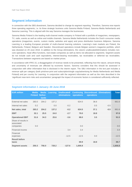## **Segment information**

In connection with the SBS divestment, Sanoma decided to change its segment reporting. Therefore, Sanoma now reports three operating segments, i.e. its three strategic business units Sanoma Media Finland, Sanoma Media Netherlands and Sanoma Learning. This is aligned with the way Sanoma manages the businesses.

Sanoma Media Finland is the leading multi-channel media company in Finland with a portfolio of magazines, newspapers, TV, radio, events as well as online and mobile channels. Sanoma Media Netherlands includes the Dutch consumer media operations (magazines, events, custom media, websites and apps) and press distribution business Aldipress. Sanoma Learning is a leading European provider of multi-channel learning solutions. Learning's main markets are Poland, the Netherlands, Finland, Belgium and Sweden. Discontinued operations include Belgian women's magazine portfolio, which was divested on 29 June 2018. In addition to the Group eliminations, the column unallocated/eliminations includes noncore operations, head office functions, real estate companies as well as items not allocated to segments. Segment assets do not include cash and cash equivalents, interest-bearing receivables, tax receivables or deferred tax receivables. Transactions between segments are based on market prices.

In accordance with IFRS 15, a disaggregation of revenue needs to be presented, reflecting how the nature, amount timing and uncertainty of revenues are affected by economic factors. Sanoma considers that this should be assessed in conjunction with other information that is disclosed in the interim report. The SBU information in the text part includes a revenue split per category (both print/non-print and subscription/single copy/advertising for Media Netherlands and Media Finland) and per country for Learning. In conjunction with the segment information as well as the risks described in the 'significant near-term risks and uncertainties' paragraph the impact of economic factors is considered sufficiently reflected.

| <b>EUR million</b>                             | <b>Media</b><br><b>Finland Nether-</b> | <b>Media</b><br>lands | Learning | Unallocated/<br>eliminations | operations | <b>Continuing Discontinued</b><br>operations | <b>Eliminations</b> | <b>Total</b> |
|------------------------------------------------|----------------------------------------|-----------------------|----------|------------------------------|------------|----------------------------------------------|---------------------|--------------|
| External net sales                             | 283.0                                  | 204.2                 | 137.2    |                              | 624.5      | 36.6                                         |                     | 661.6        |
| Internal net sales                             | 0.2                                    |                       | 0.0      | $-0.2$                       |            | 0.5                                          | $-0.5$              |              |
| Net sales, total                               | 283.2                                  | 204.2                 | 137.2    | $-0.2$                       | 624.5      | 37.1                                         | $-0.5$              | 661.6        |
| <b>EBIT</b>                                    | 32.1                                   | 25.5                  | 24.0     | $-2.7$                       | 79.0       | 18.8                                         |                     | 97.8         |
| <b>Operational EBIT</b>                        | 31.6                                   | 34.3                  | 25.6     | $-3.6$                       | 88.0       | 3.5                                          |                     | 91.5         |
| Share of results in<br>associated<br>companies | 0.0                                    |                       |          |                              | 0.0        |                                              |                     | 0.0          |
| Financial income                               |                                        |                       |          | 3.4                          | 3.4        |                                              |                     | 3.4          |
| Financial<br>expenses                          |                                        |                       |          | $-12.5$                      | $-12.5$    | 0.0                                          |                     | $-12.5$      |
| <b>Result before</b><br>taxes                  |                                        |                       |          |                              | 69.9       | 18.8                                         |                     | 88.7         |
| <b>Segment assets</b>                          | 250.3                                  | 756.0                 | 728.2    | $-127.6$                     | 1,606.8    |                                              |                     | 1,606.8      |

#### **Segment information 1 January–30 June 2018**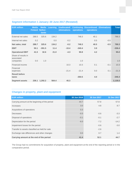| <b>EUR million</b>                             | <b>Media</b><br><b>Finland Nether-</b> | <b>Media</b><br>lands | Learning | Unallocated/<br>eliminations | operations | <b>Continuing Discontinued</b><br>operations | <b>Eliminations</b> | <b>Total</b> |
|------------------------------------------------|----------------------------------------|-----------------------|----------|------------------------------|------------|----------------------------------------------|---------------------|--------------|
| External net sales                             | 288.5                                  | 325.6                 | 134.2    |                              | 748.3      | 40.1                                         |                     | 788.3        |
| Internal net sales                             | 0.2                                    |                       | 0.0      | $-0.2$                       |            | 0.5                                          | $-0.5$              |              |
| Net sales, total                               | 288.7                                  | 325.6                 | 134.2    | $-0.2$                       | 748.3      | 40.5                                         | $-0.5$              | 788.3        |
| <b>EBIT</b>                                    | 50.1                                   | $-391.5$              | 11.4     | $-10.4$                      | $-340.4$   | 3.9                                          |                     | $-336.4$     |
| <b>Operational EBIT</b>                        | 41.5                                   | 32.6                  | 21.0     | $-4.3$                       | 90.8       | 4.2                                          |                     | 95.0         |
| Share of results in<br>associated<br>companies | 0.0                                    | 1.0                   |          |                              | 1.0        |                                              |                     | 1.0          |
| Financial income                               |                                        |                       |          | 10.3                         | 10.3       | 0.1                                          | $-0.1$              | 10.3         |
| Financial<br>expenses<br><b>Result before</b>  |                                        |                       |          | $-21.4$                      | $-21.4$    | 0.0                                          | 0.1                 | $-21.3$      |
| taxes                                          |                                        |                       |          |                              | $-350.5$   | 4.0                                          |                     | $-346.4$     |
| <b>Segment assets</b>                          |                                        | 236.1 1,292.2         | 564.4    | 45.3                         |            |                                              |                     | 2,138.0      |

### **Segment information 1 January–30 June 2017 (Restated)**

### **Changes in property, plant and equipment**

| <b>EUR million</b>                             | 30 Jun 2018 | 30 Jun 2017 | 31 Dec 2017 |
|------------------------------------------------|-------------|-------------|-------------|
| Carrying amount at the beginning of the period | 44.7        | 57.8        | 57.8        |
| Increases                                      | 3.0         | 4.8         | 8.7         |
| Acquisitions of operations                     | 0.3         |             |             |
| Decreases                                      | $-0.5$      | $-0.6$      | $-3.3$      |
| Disposal of operations                         | $-0.1$      | $-0.1$      | $-2.7$      |
| Depreciation for the period                    | $-6.0$      | $-7.2$      | $-14.2$     |
| Impairment losses for the period               |             | $-0.6$      | $-3.0$      |
| Transfer to assets classified as held for sale |             | $-2.6$      |             |
| Exchange rate differences and other changes    | 0.0         | 0.7         | 1.4         |
| Carrying amount at the end of the period       | 41.4        | 52.1        | 44.7        |

The Group had no commitments for acquisition of property, plant and equipment at the end of the reporting period or in the comparative period.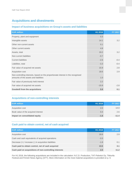## **Acquisitions and divestments**

#### **Impact of business acquisitions on Group's assets and liabilities**

| <b>EUR million</b>                                                                                                        | H1 2018 | FY 2017 |
|---------------------------------------------------------------------------------------------------------------------------|---------|---------|
| Property, plant and equipment                                                                                             | 0.3     |         |
| Intangible assets                                                                                                         | 14.1    | 3.2     |
| Other non-current assets                                                                                                  | 0.1     |         |
| Other current assets                                                                                                      | 4.8     |         |
| Assets, total                                                                                                             | 19.2    | 3.2     |
| Non-current liabilities                                                                                                   | $-0.7$  |         |
| <b>Current liabilities</b>                                                                                                | $-2.6$  | $-0.4$  |
| Liabilities, total                                                                                                        | $-3.3$  | $-0.4$  |
| Fair value of acquired net assets                                                                                         | 15.9    | 2.8     |
| Acquisition cost                                                                                                          | 18.6    | 2.9     |
| Non-controlling interests, based on the proportionate interest in the recognised<br>amounts of the assets and liabilities | 1.0     |         |
| Fair value of previously held interest                                                                                    | 2.2     |         |
| Fair value of acquired net assets                                                                                         | $-15.9$ | $-2.8$  |
| <b>Goodwill from the acquisitions</b>                                                                                     | 5.9     | 0.1     |

#### **Acquisitions of non-controlling interests**

| <b>EUR million</b>                  | H1 2018 | <b>FY 2017</b> |
|-------------------------------------|---------|----------------|
| Acquisition cost                    | 2.0     | 14.0           |
| Book value of the acquired interest | 0.4     | 2.6            |
| Impact on consolidated equity       | $-1.6$  | $-11.4$        |

#### **Cash paid to obtain control, net of cash acquired**

| <b>EUR million</b>                                         | H1 2018 | <b>FY 2017</b> |
|------------------------------------------------------------|---------|----------------|
| Acquisition cost                                           | 18.6    | 2.9            |
| Cash and cash equivalents of acquired operations           | $-3.3$  |                |
| Decrease $(+)$ / increase $(-)$ in acquisition liabilities | $-1.8$  | 0.1            |
| Cash paid to obtain control, net of cash acquired          | 13.5    | 3.1            |
| Cash paid on acquisitions of non-controlling interests     | 2.0     | 11.2           |

For H1 2018, the following acquisitions are included in the calculation: N.C.D. Production, TAT-Palvelut Oy, Tikkurila Festival and Finnish News Agency (STT). More information on the most material acquisitions is provided on p. 9.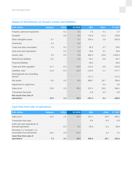## **Impact of divestments on Group's assets and liabilities**

| <b>EUR million</b>                       | <b>Belgium</b> | <b>Other</b> | H1 2018 | <b>SBS</b> | <b>Other</b> | FY 2017  |
|------------------------------------------|----------------|--------------|---------|------------|--------------|----------|
| Property, plant and equipment            |                | 0.1          | 0.1     | 2.6        | 0.1          | 2.7      |
| Goodwill                                 |                | 0.0          | 0.0     | 715.5      | 14.3         | 729.8    |
| Other intangible assets                  | 0.7            |              | 0.7     | 200.3      | 2.6          | 202.9    |
| Inventories                              | 0.2            |              | 0.2     |            |              |          |
| Trade and other receivables              | 1.5            | 0.2          | 1.7     | 38.3       | 0.7          | 39.0     |
| Cash and cash equivalents                |                | 0.2          | 0.2     | 25.8       | 3.1          | 28.9     |
| Assets, total                            | 2.4            | 0.5          | 2.9     | 982.5      | 20.8         | 1,003.3  |
| Deferred tax liabilities                 | $-0.2$         |              | $-0.2$  | $-18.1$    | $-0.6$       | $-18.7$  |
| <b>Financial liabilities</b>             |                |              |         | $-46.0$    |              | $-46.0$  |
| Trade and other payables                 | $-11.7$        | $-0.3$       | $-12.0$ | $-112.4$   | $-0.6$       | $-113.0$ |
| Liabilities, total                       | $-11.9$        | $-0.3$       | $-12.2$ | $-176.6$   | $-1.1$       | $-177.7$ |
| Derecognised non-controlling<br>interest |                |              |         | $-117.2$   |              | $-117.2$ |
| Net assets                               | $-9.5$         | 0.2          | $-9.3$  | 688.7      | 19.7         | 708.4    |
| Adjustment to capital loss               |                |              |         |            | 0.3          | 0.3      |
| Sales price                              | 23.5           | 2.5          | 26.0    | 237.1      | 29.0         | 266.1    |
| Transaction fees paid                    |                |              |         | $-5.6$     | $-0.3$       | $-5.9$   |
| Net result from sale of<br>operations    | 33.0           | 2.3          | 35.3    | $-457.2$   | 9.3          | $-448.0$ |

## **Cash flow from sale of operations**

| <b>EUR million</b>                                            | <b>Belgium</b> | <b>Other</b> | H1 2018 | <b>SBS</b> | <b>Other</b> | FY 2017 |
|---------------------------------------------------------------|----------------|--------------|---------|------------|--------------|---------|
| Sales price                                                   | 23.5           | 2.5          | 26.0    | 237.1      | 29.0         | 266.1   |
| Transaction fees paid                                         |                |              |         | $-5.6$     | $-0.3$       | $-5.9$  |
| Cash and cash equivalents of<br>divested operations           |                | $-0.2$       | $-0.2$  | $-25.8$    | $-3.1$       | $-28.9$ |
| Decrease (+) / increase (-) in<br>receivables from divestment | $-16.2$        | 0.9          | $-15.3$ |            | 4.2          | 4.2     |
| Cash flow from sale of<br>operations                          | 7.3            | 3.2          | 10.4    | 205.6      | 29.7         | 235.4   |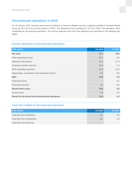## **Discontinued operations in 2018**

On 16 January 2018, Sanoma announced an intention to divest its Belgian women's magazine portfolio to Roularta Media Group by the end of the second quarter of 2018. The divestment was completed on 29 June 2018. The operations were reclassified as discontinued operations. The income statement and cash flow statement are presented in the following two tables.

#### **Income statement of discontinued operations**

| <b>EUR million</b>                                 | H1 2018 | H1 2017 |
|----------------------------------------------------|---------|---------|
| <b>Net sales</b>                                   | 37.1    | 40.5    |
| Other operating income                             | 36.7    | 0.0     |
| Materials and services                             | $-15.2$ | $-17.0$ |
| Employee benefit expenses                          | $-24.4$ | $-7.2$  |
| Other operating expenses                           | $-14.8$ | $-11.9$ |
| Depreciation, amortisation and impairment losses   | $-0.5$  | $-0.5$  |
| <b>EBIT</b>                                        | 18.8    | 3.9     |
| Financial income                                   |         | 0.1     |
| Financial expenses                                 | 0.0     | 0.0     |
| <b>Result before taxes</b>                         | 18.8    | 4.0     |
| Income taxes                                       | $-5.9$  | $-1.5$  |
| Result for the period from discontinued operations | 12.9    | 2.5     |

#### **Cash flow related to discontinued operations**

| <b>EUR million</b>         | H <sub>1</sub> 2018 | H <sub>1</sub> 2017 |
|----------------------------|---------------------|---------------------|
| Cash flow from operations  | $-0.7$              | -4.6                |
| Cash flow from investments | $-0.1$              | 3.3                 |
| Cash flow from financing   |                     |                     |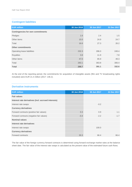#### **Contingent liabilities**

| <b>EUR million</b>                       | 30 Jun 2018 | 30 Jun 2017 | 31 Dec 2017 |
|------------------------------------------|-------------|-------------|-------------|
| <b>Contingencies for own commitments</b> |             |             |             |
| Pledges                                  | 1.6         | 2.4         | 1.5         |
| Other items                              | 15.0        | 24.9        | 24.7        |
| Total                                    | 16.6        | 27.3        | 26.2        |
| <b>Other commitments</b>                 |             |             |             |
| Operating lease liabilities              | 232.3       | 286.0       | 249.4       |
| Royalties                                | 3.8         | 11.9        | 7.8         |
| Other items                              | 47.0        | 65.9        | 49.3        |
| Total                                    | 283.1       | 363.8       | 306.4       |
| <b>Total</b>                             | 299.7       | 391.1       | 332.6       |

At the end of the reporting period, the commitments for acquisition of intangible assets (film and TV broadcasting rights included) were EUR 21.4 million (2017: 146.2).

#### **Derivative instruments**

| <b>EUR million</b>                                  | 30 Jun 2018 | 30 Jun 2017 | 31 Dec 2017 |
|-----------------------------------------------------|-------------|-------------|-------------|
| <b>Fair values</b>                                  |             |             |             |
| Interest rate derivatives (incl. accrued interests) |             |             |             |
| Interest rate swaps                                 |             | $-0.2$      |             |
| <b>Currency derivatives</b>                         |             |             |             |
| Forward contracts (positive fair values)            | 0.3         | 0.9         | 1.1         |
| Forward contracts (negative fair values)            | $-0.4$      | $-2.2$      | $-1.7$      |
| <b>Nominal values</b>                               |             |             |             |
| Interest rate derivatives                           |             |             |             |
| Interest rate swaps                                 |             | 100.0       |             |
| <b>Currency derivatives</b>                         |             |             |             |
| Forward contracts                                   | 30.3        | 66.4        | 66.4        |

The fair value of the foreign currency forward contracts is determined using forward exchange market rates at the balance sheet date. The fair value of the interest rate swaps is calculated as the present value of the estimated future cash flows.